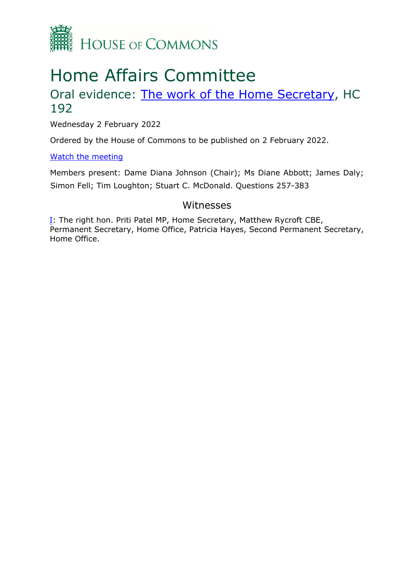

# Home Affairs Committee

# Oral evidence: [The](https://committees.parliament.uk/work/408/the-work-of-the-home-secretary) [work](https://committees.parliament.uk/work/408/the-work-of-the-home-secretary) [of](https://committees.parliament.uk/work/408/the-work-of-the-home-secretary) [the](https://committees.parliament.uk/work/408/the-work-of-the-home-secretary) [Home](https://committees.parliament.uk/work/408/the-work-of-the-home-secretary) [Secretary,](https://committees.parliament.uk/work/408/the-work-of-the-home-secretary) HC 192

Wednesday 2 February 2022

Ordered by the House of Commons to be published on 2 February 2022.

[Watch](https://parliamentlive.tv/event/index/bd57843c-5235-46d5-8ff2-a4d4553bd31a) [the](https://parliamentlive.tv/event/index/bd57843c-5235-46d5-8ff2-a4d4553bd31a) [meeting](https://parliamentlive.tv/event/index/bd57843c-5235-46d5-8ff2-a4d4553bd31a)

Members present: Dame Diana Johnson (Chair); Ms Diane Abbott; James Daly; Simon Fell; Tim Loughton; Stuart C. McDonald. Questions 257-383

### Witnesses

I: The right hon. Priti Patel MP, Home Secretary, Matthew Rycroft CBE, Permanent Secretary, Home Office, Patricia Hayes, Second Permanent Secretary, Home Office.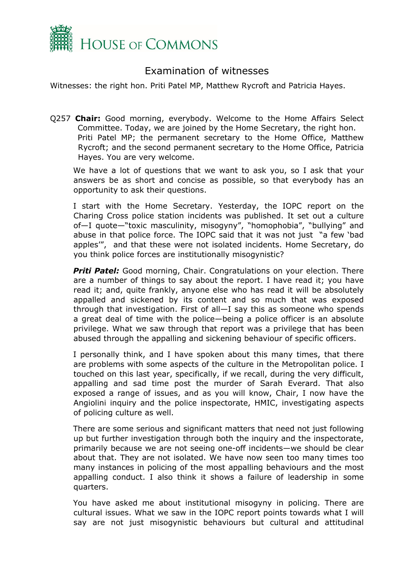

## Examination of witnesses

Witnesses: the right hon. Priti Patel MP, Matthew Rycroft and Patricia Hayes.

Q257 **Chair:** Good morning, everybody. Welcome to the Home Affairs Select Committee. Today, we are joined by the Home Secretary, the right hon. Priti Patel MP; the permanent secretary to the Home Office, Matthew Rycroft; and the second permanent secretary to the Home Office, Patricia Hayes. You are very welcome.

We have a lot of questions that we want to ask you, so I ask that your answers be as short and concise as possible, so that everybody has an opportunity to ask their questions.

I start with the Home Secretary. Yesterday, the IOPC report on the Charing Cross police station incidents was published. It set out a culture of—I quote—"toxic masculinity, misogyny", "homophobia", "bullying" and abuse in that police force. The IOPC said that it was not just "a few 'bad apples'", and that these were not isolated incidents. Home Secretary, do you think police forces are institutionally misogynistic?

**Priti Patel:** Good morning, Chair. Congratulations on your election. There are a number of things to say about the report. I have read it; you have read it; and, quite frankly, anyone else who has read it will be absolutely appalled and sickened by its content and so much that was exposed through that investigation. First of all—I say this as someone who spends a great deal of time with the police—being a police officer is an absolute privilege. What we saw through that report was a privilege that has been abused through the appalling and sickening behaviour of specific officers.

I personally think, and I have spoken about this many times, that there are problems with some aspects of the culture in the Metropolitan police. I touched on this last year, specifically, if we recall, during the very difficult, appalling and sad time post the murder of Sarah Everard. That also exposed a range of issues, and as you will know, Chair, I now have the Angiolini inquiry and the police inspectorate, HMIC, investigating aspects of policing culture as well.

There are some serious and significant matters that need not just following up but further investigation through both the inquiry and the inspectorate, primarily because we are not seeing one-off incidents—we should be clear about that. They are not isolated. We have now seen too many times too many instances in policing of the most appalling behaviours and the most appalling conduct. I also think it shows a failure of leadership in some quarters.

You have asked me about institutional misogyny in policing. There are cultural issues. What we saw in the IOPC report points towards what I will say are not just misogynistic behaviours but cultural and attitudinal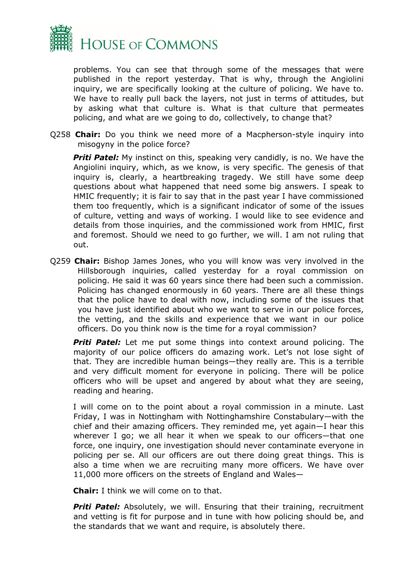

problems. You can see that through some of the messages that were published in the report yesterday. That is why, through the Angiolini inquiry, we are specifically looking at the culture of policing. We have to. We have to really pull back the layers, not just in terms of attitudes, but by asking what that culture is. What is that culture that permeates policing, and what are we going to do, collectively, to change that?

Q258 **Chair:** Do you think we need more of a Macpherson-style inquiry into misogyny in the police force?

**Priti Patel:** My instinct on this, speaking very candidly, is no. We have the Angiolini inquiry, which, as we know, is very specific. The genesis of that inquiry is, clearly, a heartbreaking tragedy. We still have some deep questions about what happened that need some big answers. I speak to HMIC frequently; it is fair to say that in the past year I have commissioned them too frequently, which is a significant indicator of some of the issues of culture, vetting and ways of working. I would like to see evidence and details from those inquiries, and the commissioned work from HMIC, first and foremost. Should we need to go further, we will. I am not ruling that out.

Q259 **Chair:** Bishop James Jones, who you will know was very involved in the Hillsborough inquiries, called yesterday for a royal commission on policing. He said it was 60 years since there had been such a commission. Policing has changed enormously in 60 years. There are all these things that the police have to deal with now, including some of the issues that you have just identified about who we want to serve in our police forces, the vetting, and the skills and experience that we want in our police officers. Do you think now is the time for a royal commission?

**Priti Patel:** Let me put some things into context around policing. The majority of our police officers do amazing work. Let's not lose sight of that. They are incredible human beings—they really are. This is a terrible and very difficult moment for everyone in policing. There will be police officers who will be upset and angered by about what they are seeing, reading and hearing.

I will come on to the point about a royal commission in a minute. Last Friday, I was in Nottingham with Nottinghamshire Constabulary—with the chief and their amazing officers. They reminded me, yet again—I hear this wherever I go; we all hear it when we speak to our officers—that one force, one inquiry, one investigation should never contaminate everyone in policing per se. All our officers are out there doing great things. This is also a time when we are recruiting many more officers. We have over 11,000 more officers on the streets of England and Wales—

**Chair:** I think we will come on to that.

**Priti Patel:** Absolutely, we will. Ensuring that their training, recruitment and vetting is fit for purpose and in tune with how policing should be, and the standards that we want and require, is absolutely there.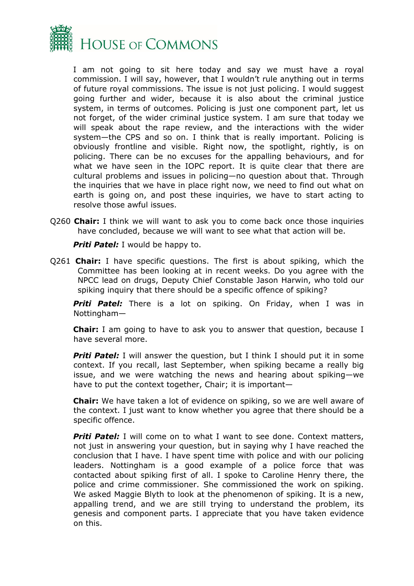

I am not going to sit here today and say we must have a royal commission. I will say, however, that I wouldn't rule anything out in terms of future royal commissions. The issue is not just policing. I would suggest going further and wider, because it is also about the criminal justice system, in terms of outcomes. Policing is just one component part, let us not forget, of the wider criminal justice system. I am sure that today we will speak about the rape review, and the interactions with the wider system—the CPS and so on. I think that is really important. Policing is obviously frontline and visible. Right now, the spotlight, rightly, is on policing. There can be no excuses for the appalling behaviours, and for what we have seen in the IOPC report. It is quite clear that there are cultural problems and issues in policing—no question about that. Through the inquiries that we have in place right now, we need to find out what on earth is going on, and post these inquiries, we have to start acting to resolve those awful issues.

Q260 **Chair:** I think we will want to ask you to come back once those inquiries have concluded, because we will want to see what that action will be.

**Priti Patel:** I would be happy to.

Q261 **Chair:** I have specific questions. The first is about spiking, which the Committee has been looking at in recent weeks. Do you agree with the NPCC lead on drugs, Deputy Chief Constable Jason Harwin, who told our spiking inquiry that there should be a specific offence of spiking?

**Priti Patel:** There is a lot on spiking. On Friday, when I was in Nottingham—

**Chair:** I am going to have to ask you to answer that question, because I have several more.

**Priti Patel:** I will answer the question, but I think I should put it in some context. If you recall, last September, when spiking became a really big issue, and we were watching the news and hearing about spiking—we have to put the context together, Chair; it is important—

**Chair:** We have taken a lot of evidence on spiking, so we are well aware of the context. I just want to know whether you agree that there should be a specific offence.

**Priti Patel:** I will come on to what I want to see done. Context matters, not just in answering your question, but in saying why I have reached the conclusion that I have. I have spent time with police and with our policing leaders. Nottingham is a good example of a police force that was contacted about spiking first of all. I spoke to Caroline Henry there, the police and crime commissioner. She commissioned the work on spiking. We asked Maggie Blyth to look at the phenomenon of spiking. It is a new, appalling trend, and we are still trying to understand the problem, its genesis and component parts. I appreciate that you have taken evidence on this.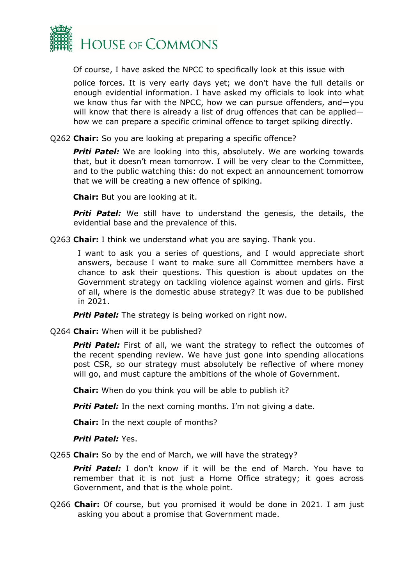

Of course, I have asked the NPCC to specifically look at this issue with

police forces. It is very early days yet; we don't have the full details or enough evidential information. I have asked my officials to look into what we know thus far with the NPCC, how we can pursue offenders, and—you will know that there is already a list of drug offences that can be appliedhow we can prepare a specific criminal offence to target spiking directly.

Q262 **Chair:** So you are looking at preparing a specific offence?

*Priti Patel:* We are looking into this, absolutely. We are working towards that, but it doesn't mean tomorrow. I will be very clear to the Committee, and to the public watching this: do not expect an announcement tomorrow that we will be creating a new offence of spiking.

**Chair:** But you are looking at it.

*Priti Patel:* We still have to understand the genesis, the details, the evidential base and the prevalence of this.

Q263 **Chair:** I think we understand what you are saying. Thank you.

I want to ask you a series of questions, and I would appreciate short answers, because I want to make sure all Committee members have a chance to ask their questions. This question is about updates on the Government strategy on tackling violence against women and girls. First of all, where is the domestic abuse strategy? It was due to be published in 2021.

**Priti Patel:** The strategy is being worked on right now.

Q264 **Chair:** When will it be published?

**Priti Patel:** First of all, we want the strategy to reflect the outcomes of the recent spending review. We have just gone into spending allocations post CSR, so our strategy must absolutely be reflective of where money will go, and must capture the ambitions of the whole of Government.

**Chair:** When do you think you will be able to publish it?

**Priti Patel:** In the next coming months. I'm not giving a date.

**Chair:** In the next couple of months?

*Priti Patel:* Yes.

Q265 **Chair:** So by the end of March, we will have the strategy?

**Priti Patel:** I don't know if it will be the end of March. You have to remember that it is not just a Home Office strategy; it goes across Government, and that is the whole point.

Q266 **Chair:** Of course, but you promised it would be done in 2021. I am just asking you about a promise that Government made.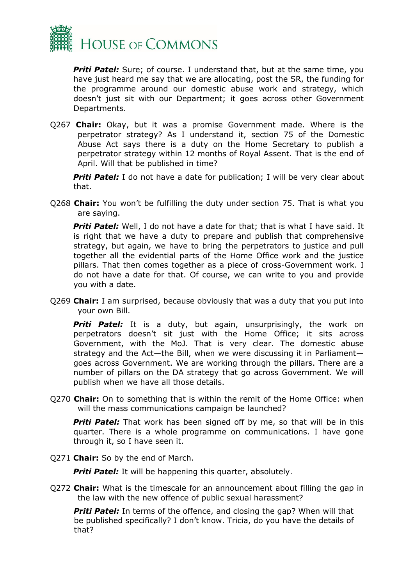

*Priti Patel:* Sure; of course. I understand that, but at the same time, you have just heard me say that we are allocating, post the SR, the funding for the programme around our domestic abuse work and strategy, which doesn't just sit with our Department; it goes across other Government Departments.

Q267 **Chair:** Okay, but it was a promise Government made. Where is the perpetrator strategy? As I understand it, section 75 of the Domestic Abuse Act says there is a duty on the Home Secretary to publish a perpetrator strategy within 12 months of Royal Assent. That is the end of April. Will that be published in time?

**Priti Patel:** I do not have a date for publication; I will be very clear about that.

Q268 **Chair:** You won't be fulfilling the duty under section 75. That is what you are saying.

*Priti Patel:* Well, I do not have a date for that; that is what I have said. It is right that we have a duty to prepare and publish that comprehensive strategy, but again, we have to bring the perpetrators to justice and pull together all the evidential parts of the Home Office work and the justice pillars. That then comes together as a piece of cross-Government work. I do not have a date for that. Of course, we can write to you and provide you with a date.

Q269 **Chair:** I am surprised, because obviously that was a duty that you put into your own Bill.

**Priti Patel:** It is a duty, but again, unsurprisingly, the work on perpetrators doesn't sit just with the Home Office; it sits across Government, with the MoJ. That is very clear. The domestic abuse strategy and the Act—the Bill, when we were discussing it in Parliament goes across Government. We are working through the pillars. There are a number of pillars on the DA strategy that go across Government. We will publish when we have all those details.

Q270 **Chair:** On to something that is within the remit of the Home Office: when will the mass communications campaign be launched?

**Priti Patel:** That work has been signed off by me, so that will be in this quarter. There is a whole programme on communications. I have gone through it, so I have seen it.

Q271 **Chair:** So by the end of March.

**Priti Patel:** It will be happening this quarter, absolutely.

Q272 **Chair:** What is the timescale for an announcement about filling the gap in the law with the new offence of public sexual harassment?

**Priti Patel:** In terms of the offence, and closing the gap? When will that be published specifically? I don't know. Tricia, do you have the details of that?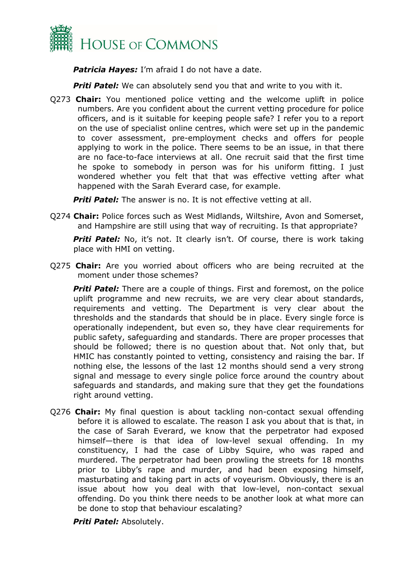

*Patricia Hayes:* I'm afraid I do not have a date.

**Priti Patel:** We can absolutely send you that and write to you with it.

Q273 **Chair:** You mentioned police vetting and the welcome uplift in police numbers. Are you confident about the current vetting procedure for police officers, and is it suitable for keeping people safe? I refer you to a report on the use of specialist online centres, which were set up in the pandemic to cover assessment, pre-employment checks and offers for people applying to work in the police. There seems to be an issue, in that there are no face-to-face interviews at all. One recruit said that the first time he spoke to somebody in person was for his uniform fitting. I just wondered whether you felt that that was effective vetting after what happened with the Sarah Everard case, for example.

**Priti Patel:** The answer is no. It is not effective vetting at all.

Q274 **Chair:** Police forces such as West Midlands, Wiltshire, Avon and Somerset, and Hampshire are still using that way of recruiting. Is that appropriate?

**Priti Patel:** No, it's not. It clearly isn't. Of course, there is work taking place with HMI on vetting.

Q275 **Chair:** Are you worried about officers who are being recruited at the moment under those schemes?

**Priti Patel:** There are a couple of things. First and foremost, on the police uplift programme and new recruits, we are very clear about standards, requirements and vetting. The Department is very clear about the thresholds and the standards that should be in place. Every single force is operationally independent, but even so, they have clear requirements for public safety, safeguarding and standards. There are proper processes that should be followed; there is no question about that. Not only that, but HMIC has constantly pointed to vetting, consistency and raising the bar. If nothing else, the lessons of the last 12 months should send a very strong signal and message to every single police force around the country about safeguards and standards, and making sure that they get the foundations right around vetting.

Q276 **Chair:** My final question is about tackling non-contact sexual offending before it is allowed to escalate. The reason I ask you about that is that, in the case of Sarah Everard, we know that the perpetrator had exposed himself—there is that idea of low-level sexual offending. In my constituency, I had the case of Libby Squire, who was raped and murdered. The perpetrator had been prowling the streets for 18 months prior to Libby's rape and murder, and had been exposing himself, masturbating and taking part in acts of voyeurism. Obviously, there is an issue about how you deal with that low-level, non-contact sexual offending. Do you think there needs to be another look at what more can be done to stop that behaviour escalating?

*Priti Patel:* Absolutely.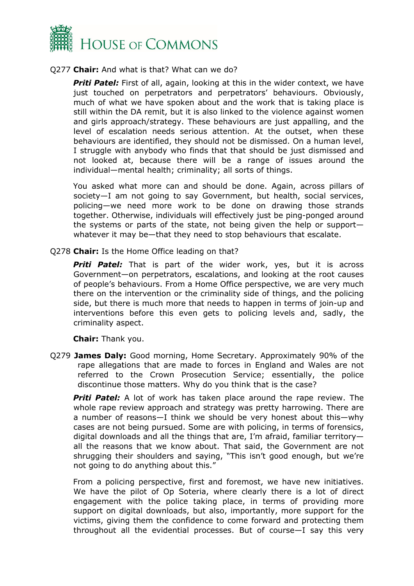

#### Q277 **Chair:** And what is that? What can we do?

*Priti Patel:* First of all, again, looking at this in the wider context, we have just touched on perpetrators and perpetrators' behaviours. Obviously, much of what we have spoken about and the work that is taking place is still within the DA remit, but it is also linked to the violence against women and girls approach/strategy. These behaviours are just appalling, and the level of escalation needs serious attention. At the outset, when these behaviours are identified, they should not be dismissed. On a human level, I struggle with anybody who finds that that should be just dismissed and not looked at, because there will be a range of issues around the individual—mental health; criminality; all sorts of things.

You asked what more can and should be done. Again, across pillars of society—I am not going to say Government, but health, social services, policing—we need more work to be done on drawing those strands together. Otherwise, individuals will effectively just be ping-ponged around the systems or parts of the state, not being given the help or support whatever it may be—that they need to stop behaviours that escalate.

Q278 **Chair:** Is the Home Office leading on that?

**Priti Patel:** That is part of the wider work, yes, but it is across Government—on perpetrators, escalations, and looking at the root causes of people's behaviours. From a Home Office perspective, we are very much there on the intervention or the criminality side of things, and the policing side, but there is much more that needs to happen in terms of join-up and interventions before this even gets to policing levels and, sadly, the criminality aspect.

**Chair:** Thank you.

Q279 **James Daly:** Good morning, Home Secretary. Approximately 90% of the rape allegations that are made to forces in England and Wales are not referred to the Crown Prosecution Service; essentially, the police discontinue those matters. Why do you think that is the case?

**Priti Patel:** A lot of work has taken place around the rape review. The whole rape review approach and strategy was pretty harrowing. There are a number of reasons—I think we should be very honest about this—why cases are not being pursued. Some are with policing, in terms of forensics, digital downloads and all the things that are, I'm afraid, familiar territory all the reasons that we know about. That said, the Government are not shrugging their shoulders and saying, "This isn't good enough, but we're not going to do anything about this."

From a policing perspective, first and foremost, we have new initiatives. We have the pilot of Op Soteria, where clearly there is a lot of direct engagement with the police taking place, in terms of providing more support on digital downloads, but also, importantly, more support for the victims, giving them the confidence to come forward and protecting them throughout all the evidential processes. But of course—I say this very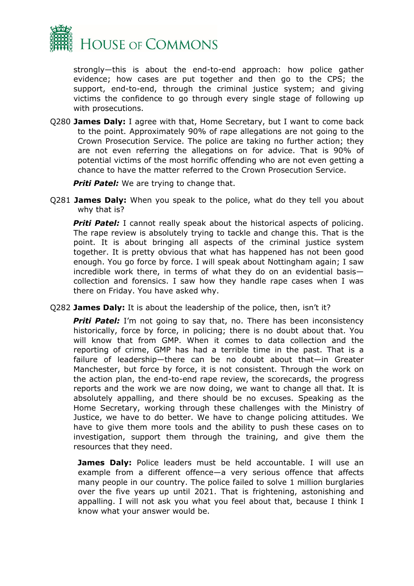

strongly—this is about the end-to-end approach: how police gather evidence; how cases are put together and then go to the CPS; the support, end-to-end, through the criminal justice system; and giving victims the confidence to go through every single stage of following up with prosecutions.

Q280 **James Daly:** I agree with that, Home Secretary, but I want to come back to the point. Approximately 90% of rape allegations are not going to the Crown Prosecution Service. The police are taking no further action; they are not even referring the allegations on for advice. That is 90% of potential victims of the most horrific offending who are not even getting a chance to have the matter referred to the Crown Prosecution Service.

**Priti Patel:** We are trying to change that.

Q281 **James Daly:** When you speak to the police, what do they tell you about why that is?

**Priti Patel:** I cannot really speak about the historical aspects of policing. The rape review is absolutely trying to tackle and change this. That is the point. It is about bringing all aspects of the criminal justice system together. It is pretty obvious that what has happened has not been good enough. You go force by force. I will speak about Nottingham again; I saw incredible work there, in terms of what they do on an evidential basis collection and forensics. I saw how they handle rape cases when I was there on Friday. You have asked why.

Q282 **James Daly:** It is about the leadership of the police, then, isn't it?

**Priti Patel:** I'm not going to say that, no. There has been inconsistency historically, force by force, in policing; there is no doubt about that. You will know that from GMP. When it comes to data collection and the reporting of crime, GMP has had a terrible time in the past. That is a failure of leadership—there can be no doubt about that—in Greater Manchester, but force by force, it is not consistent. Through the work on the action plan, the end-to-end rape review, the scorecards, the progress reports and the work we are now doing, we want to change all that. It is absolutely appalling, and there should be no excuses. Speaking as the Home Secretary, working through these challenges with the Ministry of Justice, we have to do better. We have to change policing attitudes. We have to give them more tools and the ability to push these cases on to investigation, support them through the training, and give them the resources that they need.

**James Daly:** Police leaders must be held accountable. I will use an example from a different offence—a very serious offence that affects many people in our country. The police failed to solve 1 million burglaries over the five years up until 2021. That is frightening, astonishing and appalling. I will not ask you what you feel about that, because I think I know what your answer would be.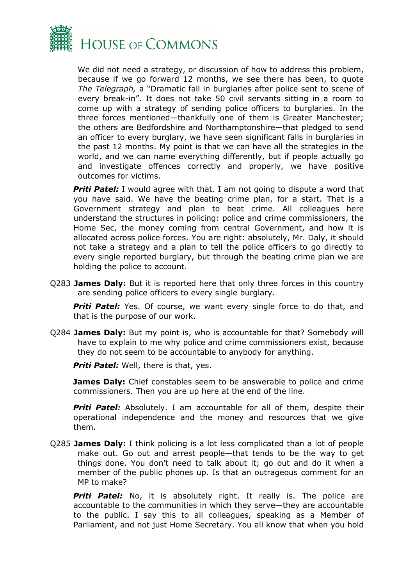

We did not need a strategy, or discussion of how to address this problem, because if we go forward 12 months, we see there has been, to quote *The Telegraph,* a "Dramatic fall in burglaries after police sent to scene of every break-in". It does not take 50 civil servants sitting in a room to come up with a strategy of sending police officers to burglaries. In the three forces mentioned—thankfully one of them is Greater Manchester; the others are Bedfordshire and Northamptonshire—that pledged to send an officer to every burglary, we have seen significant falls in burglaries in the past 12 months. My point is that we can have all the strategies in the world, and we can name everything differently, but if people actually go and investigate offences correctly and properly, we have positive outcomes for victims.

**Priti Patel:** I would agree with that. I am not going to dispute a word that you have said. We have the beating crime plan, for a start. That is a Government strategy and plan to beat crime. All colleagues here understand the structures in policing: police and crime commissioners, the Home Sec, the money coming from central Government, and how it is allocated across police forces. You are right: absolutely, Mr. Daly, it should not take a strategy and a plan to tell the police officers to go directly to every single reported burglary, but through the beating crime plan we are holding the police to account.

Q283 **James Daly:** But it is reported here that only three forces in this country are sending police officers to every single burglary.

**Priti Patel:** Yes. Of course, we want every single force to do that, and that is the purpose of our work.

Q284 **James Daly:** But my point is, who is accountable for that? Somebody will have to explain to me why police and crime commissioners exist, because they do not seem to be accountable to anybody for anything.

*Priti Patel:* Well, there is that, yes.

**James Daly:** Chief constables seem to be answerable to police and crime commissioners. Then you are up here at the end of the line.

**Priti Patel:** Absolutely. I am accountable for all of them, despite their operational independence and the money and resources that we give them.

Q285 **James Daly:** I think policing is a lot less complicated than a lot of people make out. Go out and arrest people—that tends to be the way to get things done. You don't need to talk about it; go out and do it when a member of the public phones up. Is that an outrageous comment for an MP to make?

**Priti Patel:** No, it is absolutely right. It really is. The police are accountable to the communities in which they serve—they are accountable to the public. I say this to all colleagues, speaking as a Member of Parliament, and not just Home Secretary. You all know that when you hold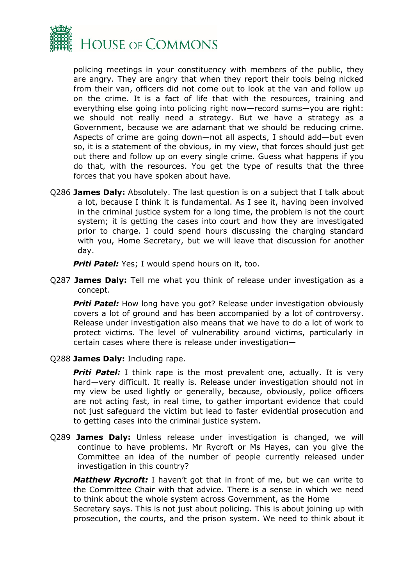

policing meetings in your constituency with members of the public, they are angry. They are angry that when they report their tools being nicked from their van, officers did not come out to look at the van and follow up on the crime. It is a fact of life that with the resources, training and everything else going into policing right now—record sums—you are right: we should not really need a strategy. But we have a strategy as a Government, because we are adamant that we should be reducing crime. Aspects of crime are going down—not all aspects, I should add—but even so, it is a statement of the obvious, in my view, that forces should just get out there and follow up on every single crime. Guess what happens if you do that, with the resources. You get the type of results that the three forces that you have spoken about have.

Q286 **James Daly:** Absolutely. The last question is on a subject that I talk about a lot, because I think it is fundamental. As I see it, having been involved in the criminal justice system for a long time, the problem is not the court system; it is getting the cases into court and how they are investigated prior to charge. I could spend hours discussing the charging standard with you, Home Secretary, but we will leave that discussion for another day.

*Priti Patel:* Yes; I would spend hours on it, too.

Q287 **James Daly:** Tell me what you think of release under investigation as a concept.

**Priti Patel:** How long have you got? Release under investigation obviously covers a lot of ground and has been accompanied by a lot of controversy. Release under investigation also means that we have to do a lot of work to protect victims. The level of vulnerability around victims, particularly in certain cases where there is release under investigation—

Q288 **James Daly:** Including rape.

*Priti Patel:* I think rape is the most prevalent one, actually. It is very hard—very difficult. It really is. Release under investigation should not in my view be used lightly or generally, because, obviously, police officers are not acting fast, in real time, to gather important evidence that could not just safeguard the victim but lead to faster evidential prosecution and to getting cases into the criminal justice system.

Q289 **James Daly:** Unless release under investigation is changed, we will continue to have problems. Mr Rycroft or Ms Hayes, can you give the Committee an idea of the number of people currently released under investigation in this country?

*Matthew Rycroft:* I haven't got that in front of me, but we can write to the Committee Chair with that advice. There is a sense in which we need to think about the whole system across Government, as the Home

Secretary says. This is not just about policing. This is about joining up with prosecution, the courts, and the prison system. We need to think about it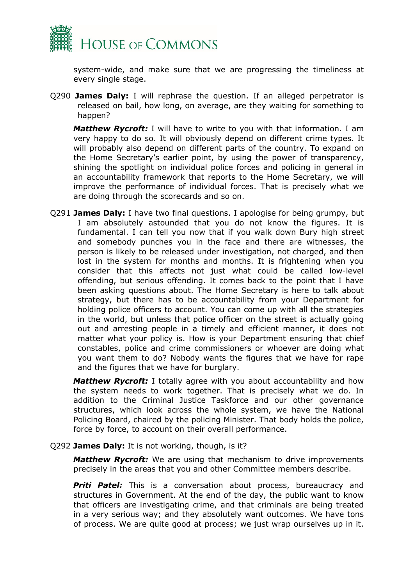

system-wide, and make sure that we are progressing the timeliness at every single stage.

Q290 **James Daly:** I will rephrase the question. If an alleged perpetrator is released on bail, how long, on average, are they waiting for something to happen?

*Matthew Rycroft:* I will have to write to you with that information. I am very happy to do so. It will obviously depend on different crime types. It will probably also depend on different parts of the country. To expand on the Home Secretary's earlier point, by using the power of transparency, shining the spotlight on individual police forces and policing in general in an accountability framework that reports to the Home Secretary, we will improve the performance of individual forces. That is precisely what we are doing through the scorecards and so on.

Q291 **James Daly:** I have two final questions. I apologise for being grumpy, but I am absolutely astounded that you do not know the figures. It is fundamental. I can tell you now that if you walk down Bury high street and somebody punches you in the face and there are witnesses, the person is likely to be released under investigation, not charged, and then lost in the system for months and months. It is frightening when you consider that this affects not just what could be called low-level offending, but serious offending. It comes back to the point that I have been asking questions about. The Home Secretary is here to talk about strategy, but there has to be accountability from your Department for holding police officers to account. You can come up with all the strategies in the world, but unless that police officer on the street is actually going out and arresting people in a timely and efficient manner, it does not matter what your policy is. How is your Department ensuring that chief constables, police and crime commissioners or whoever are doing what you want them to do? Nobody wants the figures that we have for rape and the figures that we have for burglary.

*Matthew Rycroft:* I totally agree with you about accountability and how the system needs to work together. That is precisely what we do. In addition to the Criminal Justice Taskforce and our other governance structures, which look across the whole system, we have the National Policing Board, chaired by the policing Minister. That body holds the police, force by force, to account on their overall performance.

#### Q292 **James Daly:** It is not working, though, is it?

*Matthew Rycroft:* We are using that mechanism to drive improvements precisely in the areas that you and other Committee members describe.

*Priti Patel:* This is a conversation about process, bureaucracy and structures in Government. At the end of the day, the public want to know that officers are investigating crime, and that criminals are being treated in a very serious way; and they absolutely want outcomes. We have tons of process. We are quite good at process; we just wrap ourselves up in it.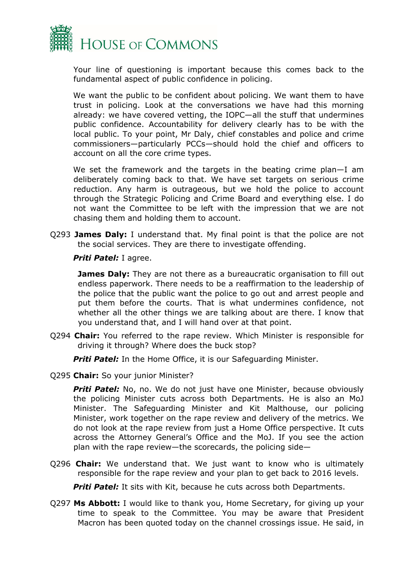

Your line of questioning is important because this comes back to the fundamental aspect of public confidence in policing.

We want the public to be confident about policing. We want them to have trust in policing. Look at the conversations we have had this morning already: we have covered vetting, the IOPC—all the stuff that undermines public confidence. Accountability for delivery clearly has to be with the local public. To your point, Mr Daly, chief constables and police and crime commissioners—particularly PCCs—should hold the chief and officers to account on all the core crime types.

We set the framework and the targets in the beating crime plan—I am deliberately coming back to that. We have set targets on serious crime reduction. Any harm is outrageous, but we hold the police to account through the Strategic Policing and Crime Board and everything else. I do not want the Committee to be left with the impression that we are not chasing them and holding them to account.

Q293 **James Daly:** I understand that. My final point is that the police are not the social services. They are there to investigate offending.

*Priti Patel:* I agree.

**James Daly:** They are not there as a bureaucratic organisation to fill out endless paperwork. There needs to be a reaffirmation to the leadership of the police that the public want the police to go out and arrest people and put them before the courts. That is what undermines confidence, not whether all the other things we are talking about are there. I know that you understand that, and I will hand over at that point.

Q294 **Chair:** You referred to the rape review. Which Minister is responsible for driving it through? Where does the buck stop?

**Priti Patel:** In the Home Office, it is our Safeguarding Minister.

Q295 **Chair:** So your junior Minister?

**Priti Patel:** No, no. We do not just have one Minister, because obviously the policing Minister cuts across both Departments. He is also an MoJ Minister. The Safeguarding Minister and Kit Malthouse, our policing Minister, work together on the rape review and delivery of the metrics. We do not look at the rape review from just a Home Office perspective. It cuts across the Attorney General's Office and the MoJ. If you see the action plan with the rape review—the scorecards, the policing side—

Q296 **Chair:** We understand that. We just want to know who is ultimately responsible for the rape review and your plan to get back to 2016 levels.

**Priti Patel:** It sits with Kit, because he cuts across both Departments.

Q297 **Ms Abbott:** I would like to thank you, Home Secretary, for giving up your time to speak to the Committee. You may be aware that President Macron has been quoted today on the channel crossings issue. He said, in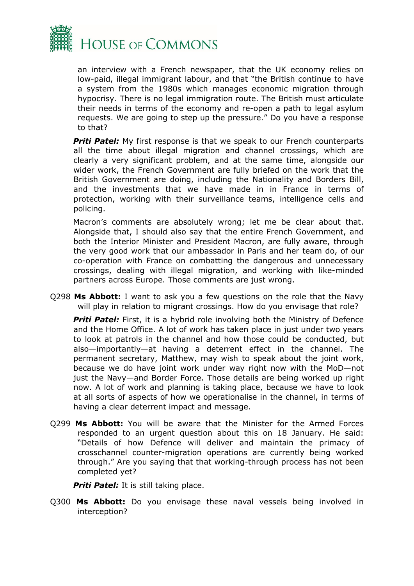

an interview with a French newspaper, that the UK economy relies on low-paid, illegal immigrant labour, and that "the British continue to have a system from the 1980s which manages economic migration through hypocrisy. There is no legal immigration route. The British must articulate their needs in terms of the economy and re-open a path to legal asylum requests. We are going to step up the pressure." Do you have a response to that?

**Priti Patel:** My first response is that we speak to our French counterparts all the time about illegal migration and channel crossings, which are clearly a very significant problem, and at the same time, alongside our wider work, the French Government are fully briefed on the work that the British Government are doing, including the Nationality and Borders Bill, and the investments that we have made in in France in terms of protection, working with their surveillance teams, intelligence cells and policing.

Macron's comments are absolutely wrong; let me be clear about that. Alongside that, I should also say that the entire French Government, and both the Interior Minister and President Macron, are fully aware, through the very good work that our ambassador in Paris and her team do, of our co-operation with France on combatting the dangerous and unnecessary crossings, dealing with illegal migration, and working with like-minded partners across Europe. Those comments are just wrong.

Q298 **Ms Abbott:** I want to ask you a few questions on the role that the Navy will play in relation to migrant crossings. How do you envisage that role?

**Priti Patel:** First, it is a hybrid role involving both the Ministry of Defence and the Home Office. A lot of work has taken place in just under two years to look at patrols in the channel and how those could be conducted, but also—importantly—at having a deterrent effect in the channel. The permanent secretary, Matthew, may wish to speak about the joint work, because we do have joint work under way right now with the MoD—not just the Navy—and Border Force. Those details are being worked up right now. A lot of work and planning is taking place, because we have to look at all sorts of aspects of how we operationalise in the channel, in terms of having a clear deterrent impact and message.

Q299 **Ms Abbott:** You will be aware that the Minister for the Armed Forces responded to an urgent question about this on 18 January. He said: "Details of how Defence will deliver and maintain the primacy of crosschannel counter-migration operations are currently being worked through." Are you saying that that working-through process has not been completed yet?

*Priti Patel:* It is still taking place.

Q300 **Ms Abbott:** Do you envisage these naval vessels being involved in interception?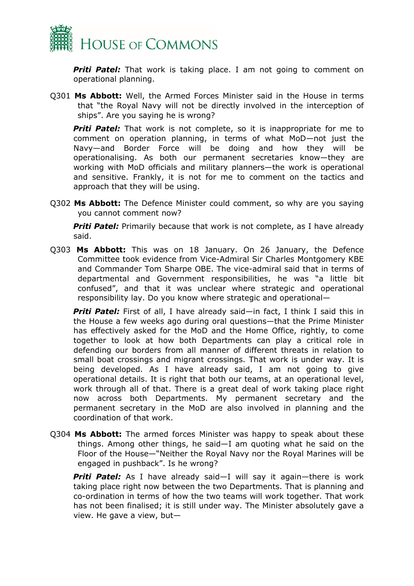

**Priti Patel:** That work is taking place. I am not going to comment on operational planning.

Q301 **Ms Abbott:** Well, the Armed Forces Minister said in the House in terms that "the Royal Navy will not be directly involved in the interception of ships". Are you saying he is wrong?

**Priti Patel:** That work is not complete, so it is inappropriate for me to comment on operation planning, in terms of what MoD—not just the Navy—and Border Force will be doing and how they will be operationalising. As both our permanent secretaries know—they are working with MoD officials and military planners—the work is operational and sensitive. Frankly, it is not for me to comment on the tactics and approach that they will be using.

Q302 **Ms Abbott:** The Defence Minister could comment, so why are you saying you cannot comment now?

**Priti Patel:** Primarily because that work is not complete, as I have already said.

Q303 **Ms Abbott:** This was on 18 January. On 26 January, the Defence Committee took evidence from Vice-Admiral Sir Charles Montgomery KBE and Commander Tom Sharpe OBE. The vice-admiral said that in terms of departmental and Government responsibilities, he was "a little bit confused", and that it was unclear where strategic and operational responsibility lay. Do you know where strategic and operational—

*Priti Patel:* First of all, I have already said—in fact, I think I said this in the House a few weeks ago during oral questions—that the Prime Minister has effectively asked for the MoD and the Home Office, rightly, to come together to look at how both Departments can play a critical role in defending our borders from all manner of different threats in relation to small boat crossings and migrant crossings. That work is under way. It is being developed. As I have already said, I am not going to give operational details. It is right that both our teams, at an operational level, work through all of that. There is a great deal of work taking place right now across both Departments. My permanent secretary and the permanent secretary in the MoD are also involved in planning and the coordination of that work.

Q304 **Ms Abbott:** The armed forces Minister was happy to speak about these things. Among other things, he said—I am quoting what he said on the Floor of the House—"Neither the Royal Navy nor the Royal Marines will be engaged in pushback". Is he wrong?

*Priti Patel:* As I have already said—I will say it again—there is work taking place right now between the two Departments. That is planning and co-ordination in terms of how the two teams will work together. That work has not been finalised; it is still under way. The Minister absolutely gave a view. He gave a view, but—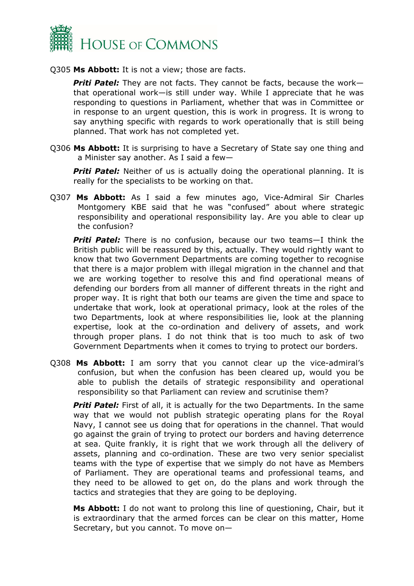

Q305 **Ms Abbott:** It is not a view; those are facts.

*Priti Patel:* They are not facts. They cannot be facts, because the work that operational work—is still under way. While I appreciate that he was responding to questions in Parliament, whether that was in Committee or in response to an urgent question, this is work in progress. It is wrong to say anything specific with regards to work operationally that is still being planned. That work has not completed yet.

Q306 **Ms Abbott:** It is surprising to have a Secretary of State say one thing and a Minister say another. As I said a few—

**Priti Patel:** Neither of us is actually doing the operational planning. It is really for the specialists to be working on that.

Q307 **Ms Abbott:** As I said a few minutes ago, Vice-Admiral Sir Charles Montgomery KBE said that he was "confused" about where strategic responsibility and operational responsibility lay. Are you able to clear up the confusion?

*Priti Patel:* There is no confusion, because our two teams—I think the British public will be reassured by this, actually. They would rightly want to know that two Government Departments are coming together to recognise that there is a major problem with illegal migration in the channel and that we are working together to resolve this and find operational means of defending our borders from all manner of different threats in the right and proper way. It is right that both our teams are given the time and space to undertake that work, look at operational primacy, look at the roles of the two Departments, look at where responsibilities lie, look at the planning expertise, look at the co-ordination and delivery of assets, and work through proper plans. I do not think that is too much to ask of two Government Departments when it comes to trying to protect our borders.

Q308 **Ms Abbott:** I am sorry that you cannot clear up the vice-admiral's confusion, but when the confusion has been cleared up, would you be able to publish the details of strategic responsibility and operational responsibility so that Parliament can review and scrutinise them?

**Priti Patel:** First of all, it is actually for the two Departments. In the same way that we would not publish strategic operating plans for the Royal Navy, I cannot see us doing that for operations in the channel. That would go against the grain of trying to protect our borders and having deterrence at sea. Quite frankly, it is right that we work through all the delivery of assets, planning and co-ordination. These are two very senior specialist teams with the type of expertise that we simply do not have as Members of Parliament. They are operational teams and professional teams, and they need to be allowed to get on, do the plans and work through the tactics and strategies that they are going to be deploying.

**Ms Abbott:** I do not want to prolong this line of questioning, Chair, but it is extraordinary that the armed forces can be clear on this matter, Home Secretary, but you cannot. To move on—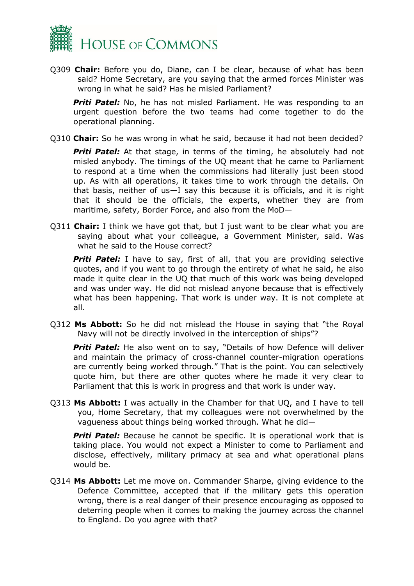

Q309 **Chair:** Before you do, Diane, can I be clear, because of what has been said? Home Secretary, are you saying that the armed forces Minister was wrong in what he said? Has he misled Parliament?

**Priti Patel:** No, he has not misled Parliament. He was responding to an urgent question before the two teams had come together to do the operational planning.

Q310 **Chair:** So he was wrong in what he said, because it had not been decided?

**Priti Patel:** At that stage, in terms of the timing, he absolutely had not misled anybody. The timings of the UQ meant that he came to Parliament to respond at a time when the commissions had literally just been stood up. As with all operations, it takes time to work through the details. On that basis, neither of us—I say this because it is officials, and it is right that it should be the officials, the experts, whether they are from maritime, safety, Border Force, and also from the MoD—

Q311 **Chair:** I think we have got that, but I just want to be clear what you are saying about what your colleague, a Government Minister, said. Was what he said to the House correct?

**Priti Patel:** I have to say, first of all, that you are providing selective quotes, and if you want to go through the entirety of what he said, he also made it quite clear in the UQ that much of this work was being developed and was under way. He did not mislead anyone because that is effectively what has been happening. That work is under way. It is not complete at all.

Q312 **Ms Abbott:** So he did not mislead the House in saying that "the Royal Navy will not be directly involved in the interception of ships"?

**Priti Patel:** He also went on to say, "Details of how Defence will deliver and maintain the primacy of cross-channel counter-migration operations are currently being worked through." That is the point. You can selectively quote him, but there are other quotes where he made it very clear to Parliament that this is work in progress and that work is under way.

Q313 **Ms Abbott:** I was actually in the Chamber for that UQ, and I have to tell you, Home Secretary, that my colleagues were not overwhelmed by the vagueness about things being worked through. What he did—

**Priti Patel:** Because he cannot be specific. It is operational work that is taking place. You would not expect a Minister to come to Parliament and disclose, effectively, military primacy at sea and what operational plans would be.

Q314 **Ms Abbott:** Let me move on. Commander Sharpe, giving evidence to the Defence Committee, accepted that if the military gets this operation wrong, there is a real danger of their presence encouraging as opposed to deterring people when it comes to making the journey across the channel to England. Do you agree with that?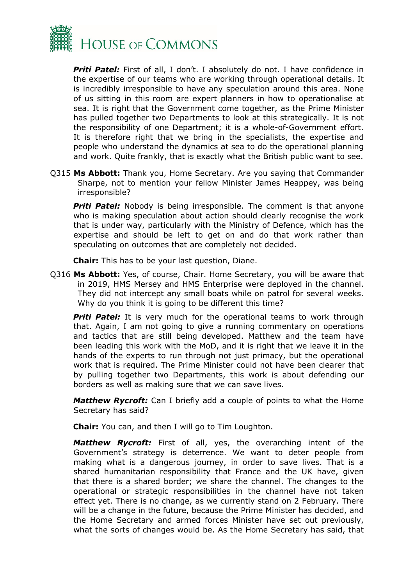

**Priti Patel:** First of all, I don't. I absolutely do not. I have confidence in the expertise of our teams who are working through operational details. It is incredibly irresponsible to have any speculation around this area. None of us sitting in this room are expert planners in how to operationalise at sea. It is right that the Government come together, as the Prime Minister has pulled together two Departments to look at this strategically. It is not the responsibility of one Department; it is a whole-of-Government effort. It is therefore right that we bring in the specialists, the expertise and people who understand the dynamics at sea to do the operational planning and work. Quite frankly, that is exactly what the British public want to see.

Q315 **Ms Abbott:** Thank you, Home Secretary. Are you saying that Commander Sharpe, not to mention your fellow Minister James Heappey, was being irresponsible?

**Priti Patel:** Nobody is being irresponsible. The comment is that anyone who is making speculation about action should clearly recognise the work that is under way, particularly with the Ministry of Defence, which has the expertise and should be left to get on and do that work rather than speculating on outcomes that are completely not decided.

**Chair:** This has to be your last question, Diane.

Q316 **Ms Abbott:** Yes, of course, Chair. Home Secretary, you will be aware that in 2019, HMS Mersey and HMS Enterprise were deployed in the channel. They did not intercept any small boats while on patrol for several weeks. Why do you think it is going to be different this time?

**Priti Patel:** It is very much for the operational teams to work through that. Again, I am not going to give a running commentary on operations and tactics that are still being developed. Matthew and the team have been leading this work with the MoD, and it is right that we leave it in the hands of the experts to run through not just primacy, but the operational work that is required. The Prime Minister could not have been clearer that by pulling together two Departments, this work is about defending our borders as well as making sure that we can save lives.

*Matthew Rycroft:* Can I briefly add a couple of points to what the Home Secretary has said?

**Chair:** You can, and then I will go to Tim Loughton.

*Matthew Rycroft:* First of all, yes, the overarching intent of the Government's strategy is deterrence. We want to deter people from making what is a dangerous journey, in order to save lives. That is a shared humanitarian responsibility that France and the UK have, given that there is a shared border; we share the channel. The changes to the operational or strategic responsibilities in the channel have not taken effect yet. There is no change, as we currently stand on 2 February. There will be a change in the future, because the Prime Minister has decided, and the Home Secretary and armed forces Minister have set out previously, what the sorts of changes would be. As the Home Secretary has said, that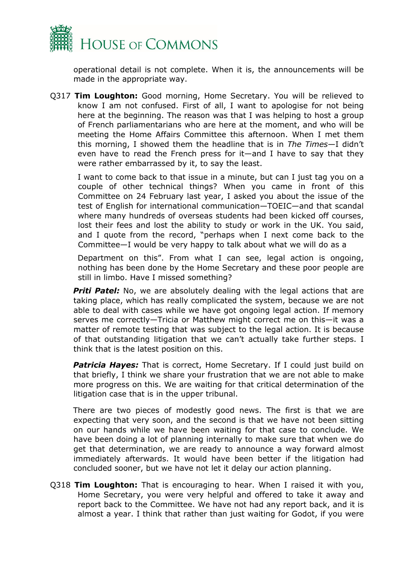

operational detail is not complete. When it is, the announcements will be made in the appropriate way.

Q317 **Tim Loughton:** Good morning, Home Secretary. You will be relieved to know I am not confused. First of all, I want to apologise for not being here at the beginning. The reason was that I was helping to host a group of French parliamentarians who are here at the moment, and who will be meeting the Home Affairs Committee this afternoon. When I met them this morning, I showed them the headline that is in *The Times*—I didn't even have to read the French press for it—and I have to say that they were rather embarrassed by it, to say the least.

I want to come back to that issue in a minute, but can I just tag you on a couple of other technical things? When you came in front of this Committee on 24 February last year, I asked you about the issue of the test of English for international communication—TOEIC—and that scandal where many hundreds of overseas students had been kicked off courses, lost their fees and lost the ability to study or work in the UK. You said, and I quote from the record, "perhaps when I next come back to the Committee—I would be very happy to talk about what we will do as a

Department on this". From what I can see, legal action is ongoing, nothing has been done by the Home Secretary and these poor people are still in limbo. Have I missed something?

**Priti Patel:** No, we are absolutely dealing with the legal actions that are taking place, which has really complicated the system, because we are not able to deal with cases while we have got ongoing legal action. If memory serves me correctly—Tricia or Matthew might correct me on this—it was a matter of remote testing that was subject to the legal action. It is because of that outstanding litigation that we can't actually take further steps. I think that is the latest position on this.

**Patricia Hayes:** That is correct, Home Secretary. If I could just build on that briefly, I think we share your frustration that we are not able to make more progress on this. We are waiting for that critical determination of the litigation case that is in the upper tribunal.

There are two pieces of modestly good news. The first is that we are expecting that very soon, and the second is that we have not been sitting on our hands while we have been waiting for that case to conclude. We have been doing a lot of planning internally to make sure that when we do get that determination, we are ready to announce a way forward almost immediately afterwards. It would have been better if the litigation had concluded sooner, but we have not let it delay our action planning.

Q318 **Tim Loughton:** That is encouraging to hear. When I raised it with you, Home Secretary, you were very helpful and offered to take it away and report back to the Committee. We have not had any report back, and it is almost a year. I think that rather than just waiting for Godot, if you were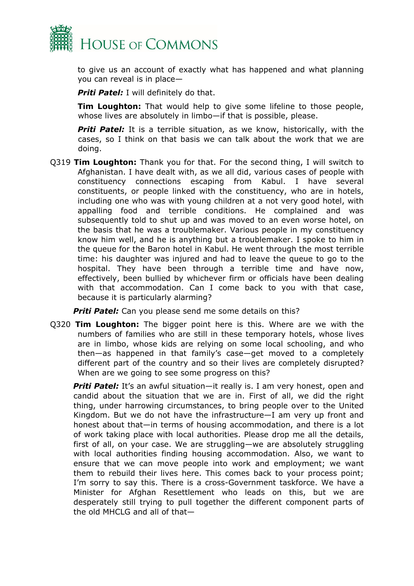

to give us an account of exactly what has happened and what planning you can reveal is in place—

*Priti Patel:* I will definitely do that.

**Tim Loughton:** That would help to give some lifeline to those people, whose lives are absolutely in limbo—if that is possible, please.

**Priti Patel:** It is a terrible situation, as we know, historically, with the cases, so I think on that basis we can talk about the work that we are doing.

Q319 **Tim Loughton:** Thank you for that. For the second thing, I will switch to Afghanistan. I have dealt with, as we all did, various cases of people with constituency connections escaping from Kabul. I have several constituents, or people linked with the constituency, who are in hotels, including one who was with young children at a not very good hotel, with appalling food and terrible conditions. He complained and was subsequently told to shut up and was moved to an even worse hotel, on the basis that he was a troublemaker. Various people in my constituency know him well, and he is anything but a troublemaker. I spoke to him in the queue for the Baron hotel in Kabul. He went through the most terrible time: his daughter was injured and had to leave the queue to go to the hospital. They have been through a terrible time and have now, effectively, been bullied by whichever firm or officials have been dealing with that accommodation. Can I come back to you with that case, because it is particularly alarming?

**Priti Patel:** Can you please send me some details on this?

Q320 **Tim Loughton:** The bigger point here is this. Where are we with the numbers of families who are still in these temporary hotels, whose lives are in limbo, whose kids are relying on some local schooling, and who then—as happened in that family's case—get moved to a completely different part of the country and so their lives are completely disrupted? When are we going to see some progress on this?

**Priti Patel:** It's an awful situation—it really is. I am very honest, open and candid about the situation that we are in. First of all, we did the right thing, under harrowing circumstances, to bring people over to the United Kingdom. But we do not have the infrastructure—I am very up front and honest about that—in terms of housing accommodation, and there is a lot of work taking place with local authorities. Please drop me all the details, first of all, on your case. We are struggling—we are absolutely struggling with local authorities finding housing accommodation. Also, we want to ensure that we can move people into work and employment; we want them to rebuild their lives here. This comes back to your process point; I'm sorry to say this. There is a cross-Government taskforce. We have a Minister for Afghan Resettlement who leads on this, but we are desperately still trying to pull together the different component parts of the old MHCLG and all of that—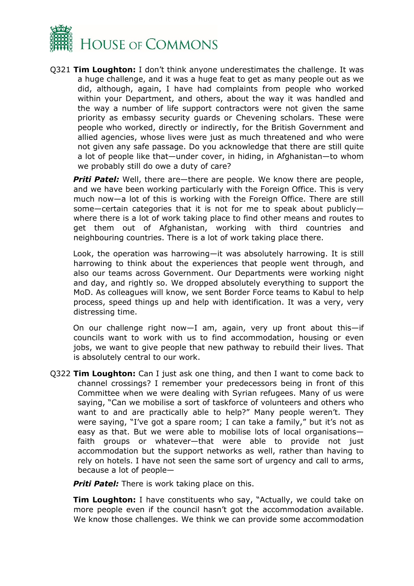

Q321 **Tim Loughton:** I don't think anyone underestimates the challenge. It was a huge challenge, and it was a huge feat to get as many people out as we did, although, again, I have had complaints from people who worked within your Department, and others, about the way it was handled and the way a number of life support contractors were not given the same priority as embassy security guards or Chevening scholars. These were people who worked, directly or indirectly, for the British Government and allied agencies, whose lives were just as much threatened and who were not given any safe passage. Do you acknowledge that there are still quite a lot of people like that—under cover, in hiding, in Afghanistan—to whom we probably still do owe a duty of care?

*Priti Patel:* Well, there are—there are people. We know there are people, and we have been working particularly with the Foreign Office. This is very much now—a lot of this is working with the Foreign Office. There are still some—certain categories that it is not for me to speak about publicly where there is a lot of work taking place to find other means and routes to get them out of Afghanistan, working with third countries and neighbouring countries. There is a lot of work taking place there.

Look, the operation was harrowing—it was absolutely harrowing. It is still harrowing to think about the experiences that people went through, and also our teams across Government. Our Departments were working night and day, and rightly so. We dropped absolutely everything to support the MoD. As colleagues will know, we sent Border Force teams to Kabul to help process, speed things up and help with identification. It was a very, very distressing time.

On our challenge right now—I am, again, very up front about this—if councils want to work with us to find accommodation, housing or even jobs, we want to give people that new pathway to rebuild their lives. That is absolutely central to our work.

Q322 **Tim Loughton:** Can I just ask one thing, and then I want to come back to channel crossings? I remember your predecessors being in front of this Committee when we were dealing with Syrian refugees. Many of us were saying, "Can we mobilise a sort of taskforce of volunteers and others who want to and are practically able to help?" Many people weren't. They were saying, "I've got a spare room; I can take a family," but it's not as easy as that. But we were able to mobilise lots of local organisations faith groups or whatever—that were able to provide not just accommodation but the support networks as well, rather than having to rely on hotels. I have not seen the same sort of urgency and call to arms, because a lot of people—

*Priti Patel:* There is work taking place on this.

**Tim Loughton:** I have constituents who say, "Actually, we could take on more people even if the council hasn't got the accommodation available. We know those challenges. We think we can provide some accommodation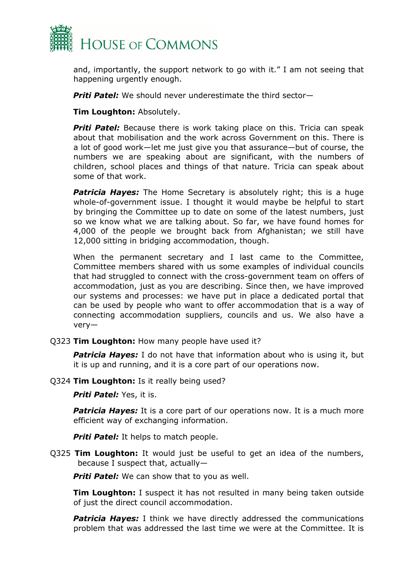

and, importantly, the support network to go with it." I am not seeing that happening urgently enough.

*Priti Patel:* We should never underestimate the third sector—

**Tim Loughton:** Absolutely.

*Priti Patel:* Because there is work taking place on this. Tricia can speak about that mobilisation and the work across Government on this. There is a lot of good work—let me just give you that assurance—but of course, the numbers we are speaking about are significant, with the numbers of children, school places and things of that nature. Tricia can speak about some of that work.

**Patricia Hayes:** The Home Secretary is absolutely right; this is a huge whole-of-government issue. I thought it would maybe be helpful to start by bringing the Committee up to date on some of the latest numbers, just so we know what we are talking about. So far, we have found homes for 4,000 of the people we brought back from Afghanistan; we still have 12,000 sitting in bridging accommodation, though.

When the permanent secretary and I last came to the Committee, Committee members shared with us some examples of individual councils that had struggled to connect with the cross-government team on offers of accommodation, just as you are describing. Since then, we have improved our systems and processes: we have put in place a dedicated portal that can be used by people who want to offer accommodation that is a way of connecting accommodation suppliers, councils and us. We also have a very—

Q323 **Tim Loughton:** How many people have used it?

*Patricia Hayes:* I do not have that information about who is using it, but it is up and running, and it is a core part of our operations now.

Q324 **Tim Loughton:** Is it really being used?

*Priti Patel:* Yes, it is.

**Patricia Hayes:** It is a core part of our operations now. It is a much more efficient way of exchanging information.

*Priti Patel:* It helps to match people.

Q325 **Tim Loughton:** It would just be useful to get an idea of the numbers, because I suspect that, actually—

**Priti Patel:** We can show that to you as well.

**Tim Loughton:** I suspect it has not resulted in many being taken outside of just the direct council accommodation.

*Patricia Hayes:* I think we have directly addressed the communications problem that was addressed the last time we were at the Committee. It is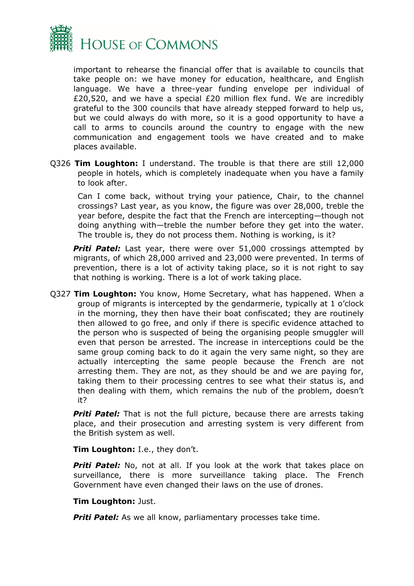

important to rehearse the financial offer that is available to councils that take people on: we have money for education, healthcare, and English language. We have a three-year funding envelope per individual of £20,520, and we have a special £20 million flex fund. We are incredibly grateful to the 300 councils that have already stepped forward to help us, but we could always do with more, so it is a good opportunity to have a call to arms to councils around the country to engage with the new communication and engagement tools we have created and to make places available.

Q326 **Tim Loughton:** I understand. The trouble is that there are still 12,000 people in hotels, which is completely inadequate when you have a family to look after.

Can I come back, without trying your patience, Chair, to the channel crossings? Last year, as you know, the figure was over 28,000, treble the year before, despite the fact that the French are intercepting—though not doing anything with—treble the number before they get into the water. The trouble is, they do not process them. Nothing is working, is it?

**Priti Patel:** Last year, there were over 51,000 crossings attempted by migrants, of which 28,000 arrived and 23,000 were prevented. In terms of prevention, there is a lot of activity taking place, so it is not right to say that nothing is working. There is a lot of work taking place.

Q327 **Tim Loughton:** You know, Home Secretary, what has happened. When a group of migrants is intercepted by the gendarmerie, typically at 1 o'clock in the morning, they then have their boat confiscated; they are routinely then allowed to go free, and only if there is specific evidence attached to the person who is suspected of being the organising people smuggler will even that person be arrested. The increase in interceptions could be the same group coming back to do it again the very same night, so they are actually intercepting the same people because the French are not arresting them. They are not, as they should be and we are paying for, taking them to their processing centres to see what their status is, and then dealing with them, which remains the nub of the problem, doesn't it?

**Priti Patel:** That is not the full picture, because there are arrests taking place, and their prosecution and arresting system is very different from the British system as well.

**Tim Loughton:** I.e., they don't.

**Priti Patel:** No, not at all. If you look at the work that takes place on surveillance, there is more surveillance taking place. The French Government have even changed their laws on the use of drones.

#### **Tim Loughton:** Just.

**Priti Patel:** As we all know, parliamentary processes take time.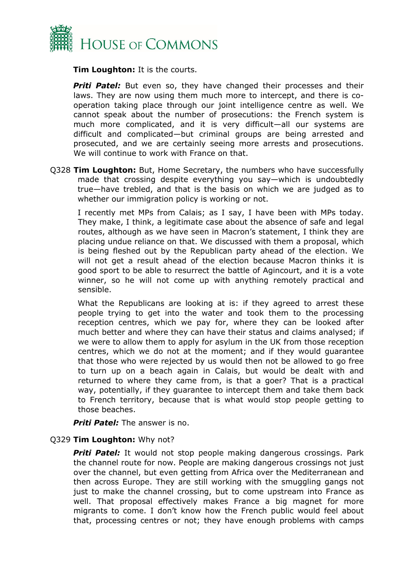

**Tim Loughton:** It is the courts.

**Priti Patel:** But even so, they have changed their processes and their laws. They are now using them much more to intercept, and there is cooperation taking place through our joint intelligence centre as well. We cannot speak about the number of prosecutions: the French system is much more complicated, and it is very difficult—all our systems are difficult and complicated—but criminal groups are being arrested and prosecuted, and we are certainly seeing more arrests and prosecutions. We will continue to work with France on that.

Q328 **Tim Loughton:** But, Home Secretary, the numbers who have successfully made that crossing despite everything you say—which is undoubtedly true—have trebled, and that is the basis on which we are judged as to whether our immigration policy is working or not.

I recently met MPs from Calais; as I say, I have been with MPs today. They make, I think, a legitimate case about the absence of safe and legal routes, although as we have seen in Macron's statement, I think they are placing undue reliance on that. We discussed with them a proposal, which is being fleshed out by the Republican party ahead of the election. We will not get a result ahead of the election because Macron thinks it is good sport to be able to resurrect the battle of Agincourt, and it is a vote winner, so he will not come up with anything remotely practical and sensible.

What the Republicans are looking at is: if they agreed to arrest these people trying to get into the water and took them to the processing reception centres, which we pay for, where they can be looked after much better and where they can have their status and claims analysed; if we were to allow them to apply for asylum in the UK from those reception centres, which we do not at the moment; and if they would guarantee that those who were rejected by us would then not be allowed to go free to turn up on a beach again in Calais, but would be dealt with and returned to where they came from, is that a goer? That is a practical way, potentially, if they guarantee to intercept them and take them back to French territory, because that is what would stop people getting to those beaches.

*Priti Patel:* The answer is no.

#### Q329 **Tim Loughton:** Why not?

**Priti Patel:** It would not stop people making dangerous crossings. Park the channel route for now. People are making dangerous crossings not just over the channel, but even getting from Africa over the Mediterranean and then across Europe. They are still working with the smuggling gangs not just to make the channel crossing, but to come upstream into France as well. That proposal effectively makes France a big magnet for more migrants to come. I don't know how the French public would feel about that, processing centres or not; they have enough problems with camps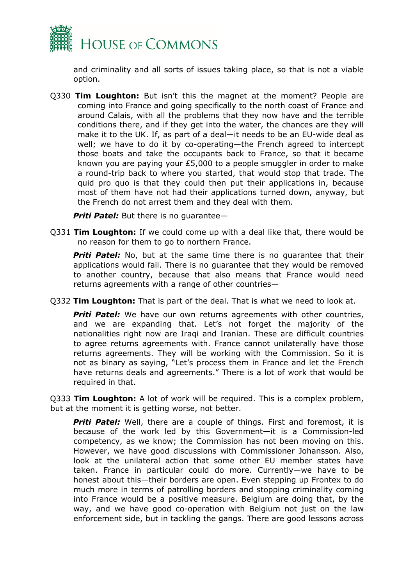

and criminality and all sorts of issues taking place, so that is not a viable option.

Q330 **Tim Loughton:** But isn't this the magnet at the moment? People are coming into France and going specifically to the north coast of France and around Calais, with all the problems that they now have and the terrible conditions there, and if they get into the water, the chances are they will make it to the UK. If, as part of a deal—it needs to be an EU-wide deal as well; we have to do it by co-operating—the French agreed to intercept those boats and take the occupants back to France, so that it became known you are paying your £5,000 to a people smuggler in order to make a round-trip back to where you started, that would stop that trade. The quid pro quo is that they could then put their applications in, because most of them have not had their applications turned down, anyway, but the French do not arrest them and they deal with them.

*Priti Patel:* But there is no guarantee—

Q331 **Tim Loughton:** If we could come up with a deal like that, there would be no reason for them to go to northern France.

**Priti Patel:** No, but at the same time there is no quarantee that their applications would fail. There is no guarantee that they would be removed to another country, because that also means that France would need returns agreements with a range of other countries—

Q332 **Tim Loughton:** That is part of the deal. That is what we need to look at.

**Priti Patel:** We have our own returns agreements with other countries, and we are expanding that. Let's not forget the majority of the nationalities right now are Iraqi and Iranian. These are difficult countries to agree returns agreements with. France cannot unilaterally have those returns agreements. They will be working with the Commission. So it is not as binary as saying, "Let's process them in France and let the French have returns deals and agreements." There is a lot of work that would be required in that.

Q333 **Tim Loughton:** A lot of work will be required. This is a complex problem, but at the moment it is getting worse, not better.

**Priti Patel:** Well, there are a couple of things. First and foremost, it is because of the work led by this Government—it is a Commission-led competency, as we know; the Commission has not been moving on this. However, we have good discussions with Commissioner Johansson. Also, look at the unilateral action that some other EU member states have taken. France in particular could do more. Currently—we have to be honest about this—their borders are open. Even stepping up Frontex to do much more in terms of patrolling borders and stopping criminality coming into France would be a positive measure. Belgium are doing that, by the way, and we have good co-operation with Belgium not just on the law enforcement side, but in tackling the gangs. There are good lessons across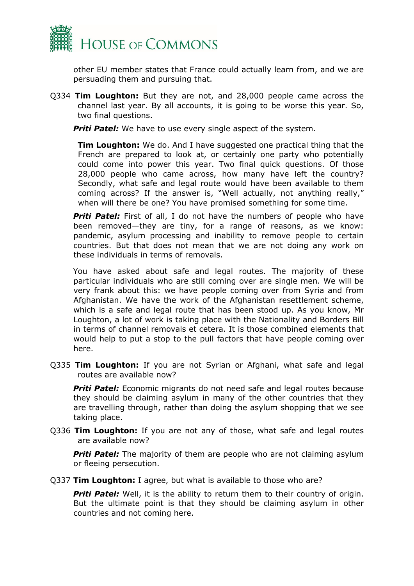

other EU member states that France could actually learn from, and we are persuading them and pursuing that.

Q334 **Tim Loughton:** But they are not, and 28,000 people came across the channel last year. By all accounts, it is going to be worse this year. So, two final questions.

**Priti Patel:** We have to use every single aspect of the system.

**Tim Loughton:** We do. And I have suggested one practical thing that the French are prepared to look at, or certainly one party who potentially could come into power this year. Two final quick questions. Of those 28,000 people who came across, how many have left the country? Secondly, what safe and legal route would have been available to them coming across? If the answer is, "Well actually, not anything really," when will there be one? You have promised something for some time.

**Priti Patel:** First of all, I do not have the numbers of people who have been removed—they are tiny, for a range of reasons, as we know: pandemic, asylum processing and inability to remove people to certain countries. But that does not mean that we are not doing any work on these individuals in terms of removals.

You have asked about safe and legal routes. The majority of these particular individuals who are still coming over are single men. We will be very frank about this: we have people coming over from Syria and from Afghanistan. We have the work of the Afghanistan resettlement scheme, which is a safe and legal route that has been stood up. As you know, Mr Loughton, a lot of work is taking place with the Nationality and Borders Bill in terms of channel removals et cetera. It is those combined elements that would help to put a stop to the pull factors that have people coming over here.

Q335 **Tim Loughton:** If you are not Syrian or Afghani, what safe and legal routes are available now?

**Priti Patel:** Economic migrants do not need safe and legal routes because they should be claiming asylum in many of the other countries that they are travelling through, rather than doing the asylum shopping that we see taking place.

Q336 **Tim Loughton:** If you are not any of those, what safe and legal routes are available now?

**Priti Patel:** The majority of them are people who are not claiming asylum or fleeing persecution.

Q337 **Tim Loughton:** I agree, but what is available to those who are?

*Priti Patel:* Well, it is the ability to return them to their country of origin. But the ultimate point is that they should be claiming asylum in other countries and not coming here.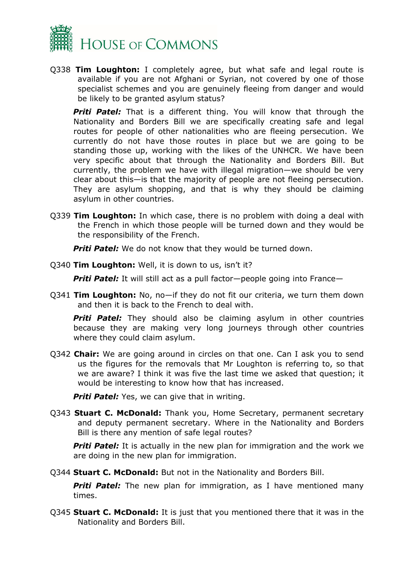

Q338 **Tim Loughton:** I completely agree, but what safe and legal route is available if you are not Afghani or Syrian, not covered by one of those specialist schemes and you are genuinely fleeing from danger and would be likely to be granted asylum status?

**Priti Patel:** That is a different thing. You will know that through the Nationality and Borders Bill we are specifically creating safe and legal routes for people of other nationalities who are fleeing persecution. We currently do not have those routes in place but we are going to be standing those up, working with the likes of the UNHCR. We have been very specific about that through the Nationality and Borders Bill. But currently, the problem we have with illegal migration—we should be very clear about this—is that the majority of people are not fleeing persecution. They are asylum shopping, and that is why they should be claiming asylum in other countries.

Q339 **Tim Loughton:** In which case, there is no problem with doing a deal with the French in which those people will be turned down and they would be the responsibility of the French.

*Priti Patel:* We do not know that they would be turned down.

Q340 **Tim Loughton:** Well, it is down to us, isn't it?

*Priti Patel:* It will still act as a pull factor—people going into France—

Q341 **Tim Loughton:** No, no—if they do not fit our criteria, we turn them down and then it is back to the French to deal with.

**Priti Patel:** They should also be claiming asylum in other countries because they are making very long journeys through other countries where they could claim asylum.

Q342 **Chair:** We are going around in circles on that one. Can I ask you to send us the figures for the removals that Mr Loughton is referring to, so that we are aware? I think it was five the last time we asked that question; it would be interesting to know how that has increased.

*Priti Patel:* Yes, we can give that in writing.

Q343 **Stuart C. McDonald:** Thank you, Home Secretary, permanent secretary and deputy permanent secretary. Where in the Nationality and Borders Bill is there any mention of safe legal routes?

**Priti Patel:** It is actually in the new plan for immigration and the work we are doing in the new plan for immigration.

Q344 **Stuart C. McDonald:** But not in the Nationality and Borders Bill.

**Priti Patel:** The new plan for immigration, as I have mentioned many times.

Q345 **Stuart C. McDonald:** It is just that you mentioned there that it was in the Nationality and Borders Bill.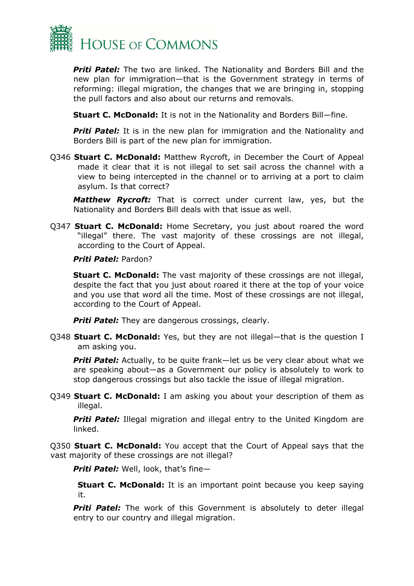

*Priti Patel:* The two are linked. The Nationality and Borders Bill and the new plan for immigration—that is the Government strategy in terms of reforming: illegal migration, the changes that we are bringing in, stopping the pull factors and also about our returns and removals.

**Stuart C. McDonald:** It is not in the Nationality and Borders Bill—fine.

**Priti Patel:** It is in the new plan for immigration and the Nationality and Borders Bill is part of the new plan for immigration.

Q346 **Stuart C. McDonald:** Matthew Rycroft, in December the Court of Appeal made it clear that it is not illegal to set sail across the channel with a view to being intercepted in the channel or to arriving at a port to claim asylum. Is that correct?

*Matthew Rycroft:* That is correct under current law, yes, but the Nationality and Borders Bill deals with that issue as well.

Q347 **Stuart C. McDonald:** Home Secretary, you just about roared the word "illegal" there. The vast majority of these crossings are not illegal, according to the Court of Appeal.

#### *Priti Patel:* Pardon?

**Stuart C. McDonald:** The vast majority of these crossings are not illegal, despite the fact that you just about roared it there at the top of your voice and you use that word all the time. Most of these crossings are not illegal, according to the Court of Appeal.

**Priti Patel:** They are dangerous crossings, clearly.

Q348 **Stuart C. McDonald:** Yes, but they are not illegal—that is the question I am asking you.

**Priti Patel:** Actually, to be quite frank—let us be very clear about what we are speaking about—as a Government our policy is absolutely to work to stop dangerous crossings but also tackle the issue of illegal migration.

Q349 **Stuart C. McDonald:** I am asking you about your description of them as illegal.

**Priti Patel:** Illegal migration and illegal entry to the United Kingdom are linked.

Q350 **Stuart C. McDonald:** You accept that the Court of Appeal says that the vast majority of these crossings are not illegal?

*Priti Patel:* Well, look, that's fine—

**Stuart C. McDonald:** It is an important point because you keep saying it.

**Priti Patel:** The work of this Government is absolutely to deter illegal entry to our country and illegal migration.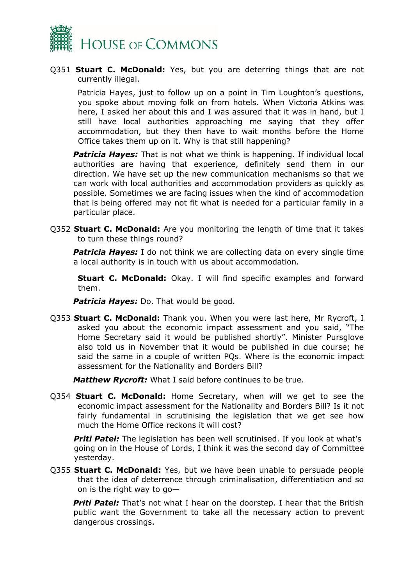

#### Q351 **Stuart C. McDonald:** Yes, but you are deterring things that are not currently illegal.

Patricia Hayes, just to follow up on a point in Tim Loughton's questions, you spoke about moving folk on from hotels. When Victoria Atkins was here, I asked her about this and I was assured that it was in hand, but I still have local authorities approaching me saying that they offer accommodation, but they then have to wait months before the Home Office takes them up on it. Why is that still happening?

**Patricia Hayes:** That is not what we think is happening. If individual local authorities are having that experience, definitely send them in our direction. We have set up the new communication mechanisms so that we can work with local authorities and accommodation providers as quickly as possible. Sometimes we are facing issues when the kind of accommodation that is being offered may not fit what is needed for a particular family in a particular place.

Q352 **Stuart C. McDonald:** Are you monitoring the length of time that it takes to turn these things round?

**Patricia Hayes:** I do not think we are collecting data on every single time a local authority is in touch with us about accommodation.

**Stuart C. McDonald:** Okay. I will find specific examples and forward them.

*Patricia Hayes:* Do. That would be good.

Q353 **Stuart C. McDonald:** Thank you. When you were last here, Mr Rycroft, I asked you about the economic impact assessment and you said, "The Home Secretary said it would be published shortly". Minister Pursglove also told us in November that it would be published in due course; he said the same in a couple of written PQs. Where is the economic impact assessment for the Nationality and Borders Bill?

*Matthew Rycroft:* What I said before continues to be true.

Q354 **Stuart C. McDonald:** Home Secretary, when will we get to see the economic impact assessment for the Nationality and Borders Bill? Is it not fairly fundamental in scrutinising the legislation that we get see how much the Home Office reckons it will cost?

**Priti Patel:** The legislation has been well scrutinised. If you look at what's going on in the House of Lords, I think it was the second day of Committee yesterday.

Q355 **Stuart C. McDonald:** Yes, but we have been unable to persuade people that the idea of deterrence through criminalisation, differentiation and so on is the right way to go—

**Priti Patel:** That's not what I hear on the doorstep. I hear that the British public want the Government to take all the necessary action to prevent dangerous crossings.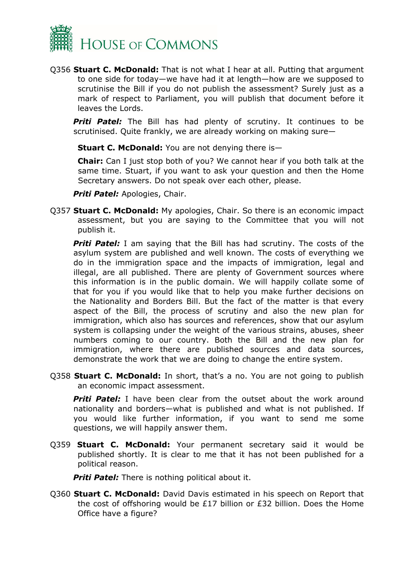

Q356 **Stuart C. McDonald:** That is not what I hear at all. Putting that argument to one side for today—we have had it at length—how are we supposed to scrutinise the Bill if you do not publish the assessment? Surely just as a mark of respect to Parliament, you will publish that document before it leaves the Lords.

**Priti Patel:** The Bill has had plenty of scrutiny. It continues to be scrutinised. Quite frankly, we are already working on making sure—

**Stuart C. McDonald:** You are not denying there is—

**Chair:** Can I just stop both of you? We cannot hear if you both talk at the same time. Stuart, if you want to ask your question and then the Home Secretary answers. Do not speak over each other, please.

*Priti Patel:* Apologies, Chair.

Q357 **Stuart C. McDonald:** My apologies, Chair. So there is an economic impact assessment, but you are saying to the Committee that you will not publish it.

*Priti Patel:* I am saying that the Bill has had scrutiny. The costs of the asylum system are published and well known. The costs of everything we do in the immigration space and the impacts of immigration, legal and illegal, are all published. There are plenty of Government sources where this information is in the public domain. We will happily collate some of that for you if you would like that to help you make further decisions on the Nationality and Borders Bill. But the fact of the matter is that every aspect of the Bill, the process of scrutiny and also the new plan for immigration, which also has sources and references, show that our asylum system is collapsing under the weight of the various strains, abuses, sheer numbers coming to our country. Both the Bill and the new plan for immigration, where there are published sources and data sources, demonstrate the work that we are doing to change the entire system.

Q358 **Stuart C. McDonald:** In short, that's a no. You are not going to publish an economic impact assessment.

**Priti Patel:** I have been clear from the outset about the work around nationality and borders—what is published and what is not published. If you would like further information, if you want to send me some questions, we will happily answer them.

Q359 **Stuart C. McDonald:** Your permanent secretary said it would be published shortly. It is clear to me that it has not been published for a political reason.

*Priti Patel:* There is nothing political about it.

Q360 **Stuart C. McDonald:** David Davis estimated in his speech on Report that the cost of offshoring would be £17 billion or £32 billion. Does the Home Office have a figure?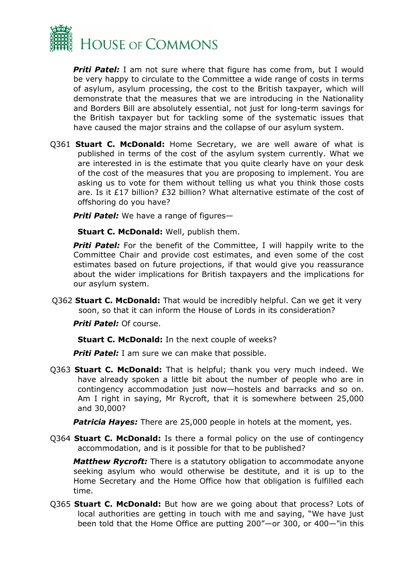

**Priti Patel:** I am not sure where that figure has come from, but I would be very happy to circulate to the Committee a wide range of costs in terms of asylum, asylum processing, the cost to the British taxpayer, which will demonstrate that the measures that we are introducing in the Nationality and Borders Bill are absolutely essential, not just for long-term savings for the British taxpayer but for tackling some of the systematic issues that have caused the major strains and the collapse of our asylum system.

Q361 **Stuart C. McDonald:** Home Secretary, we are well aware of what is published in terms of the cost of the asylum system currently. What we are interested in is the estimate that you quite clearly have on your desk of the cost of the measures that you are proposing to implement. You are asking us to vote for them without telling us what you think those costs are. Is it £17 billion? £32 billion? What alternative estimate of the cost of offshoring do you have?

*Priti Patel:* We have a range of figures—

**Stuart C. McDonald:** Well, publish them.

**Priti Patel:** For the benefit of the Committee, I will happily write to the Committee Chair and provide cost estimates, and even some of the cost estimates based on future projections, if that would give you reassurance about the wider implications for British taxpayers and the implications for our asylum system.

Q362 **Stuart C. McDonald:** That would be incredibly helpful. Can we get it very soon, so that it can inform the House of Lords in its consideration?

*Priti Patel:* Of course.

**Stuart C. McDonald:** In the next couple of weeks?

**Priti Patel:** I am sure we can make that possible.

Q363 **Stuart C. McDonald:** That is helpful; thank you very much indeed. We have already spoken a little bit about the number of people who are in contingency accommodation just now—hostels and barracks and so on. Am I right in saying, Mr Rycroft, that it is somewhere between 25,000 and 30,000?

*Patricia Hayes:* There are 25,000 people in hotels at the moment, yes.

Q364 **Stuart C. McDonald:** Is there a formal policy on the use of contingency accommodation, and is it possible for that to be published?

*Matthew Rycroft:* There is a statutory obligation to accommodate anyone seeking asylum who would otherwise be destitute, and it is up to the Home Secretary and the Home Office how that obligation is fulfilled each time.

Q365 **Stuart C. McDonald:** But how are we going about that process? Lots of local authorities are getting in touch with me and saying, "We have just been told that the Home Office are putting 200"—or 300, or 400—"in this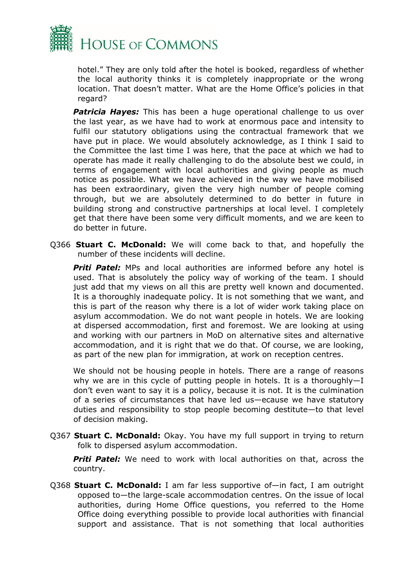

hotel." They are only told after the hotel is booked, regardless of whether the local authority thinks it is completely inappropriate or the wrong location. That doesn't matter. What are the Home Office's policies in that regard?

*Patricia Hayes:* This has been a huge operational challenge to us over the last year, as we have had to work at enormous pace and intensity to fulfil our statutory obligations using the contractual framework that we have put in place. We would absolutely acknowledge, as I think I said to the Committee the last time I was here, that the pace at which we had to operate has made it really challenging to do the absolute best we could, in terms of engagement with local authorities and giving people as much notice as possible. What we have achieved in the way we have mobilised has been extraordinary, given the very high number of people coming through, but we are absolutely determined to do better in future in building strong and constructive partnerships at local level. I completely get that there have been some very difficult moments, and we are keen to do better in future.

Q366 **Stuart C. McDonald:** We will come back to that, and hopefully the number of these incidents will decline.

*Priti Patel:* MPs and local authorities are informed before any hotel is used. That is absolutely the policy way of working of the team. I should just add that my views on all this are pretty well known and documented. It is a thoroughly inadequate policy. It is not something that we want, and this is part of the reason why there is a lot of wider work taking place on asylum accommodation. We do not want people in hotels. We are looking at dispersed accommodation, first and foremost. We are looking at using and working with our partners in MoD on alternative sites and alternative accommodation, and it is right that we do that. Of course, we are looking, as part of the new plan for immigration, at work on reception centres.

We should not be housing people in hotels. There are a range of reasons why we are in this cycle of putting people in hotels. It is a thoroughly—I don't even want to say it is a policy, because it is not. It is the culmination of a series of circumstances that have led us—ecause we have statutory duties and responsibility to stop people becoming destitute—to that level of decision making.

Q367 **Stuart C. McDonald:** Okay. You have my full support in trying to return folk to dispersed asylum accommodation.

**Priti Patel:** We need to work with local authorities on that, across the country.

Q368 **Stuart C. McDonald:** I am far less supportive of—in fact, I am outright opposed to—the large-scale accommodation centres. On the issue of local authorities, during Home Office questions, you referred to the Home Office doing everything possible to provide local authorities with financial support and assistance. That is not something that local authorities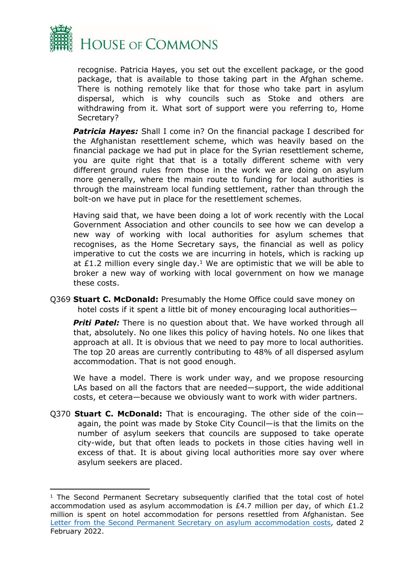

recognise. Patricia Hayes, you set out the excellent package, or the good package, that is available to those taking part in the Afghan scheme. There is nothing remotely like that for those who take part in asylum dispersal, which is why councils such as Stoke and others are withdrawing from it. What sort of support were you referring to, Home Secretary?

**Patricia Hayes:** Shall I come in? On the financial package I described for the Afghanistan resettlement scheme, which was heavily based on the financial package we had put in place for the Syrian resettlement scheme, you are quite right that that is a totally different scheme with very different ground rules from those in the work we are doing on asylum more generally, where the main route to funding for local authorities is through the mainstream local funding settlement, rather than through the bolt-on we have put in place for the resettlement schemes.

Having said that, we have been doing a lot of work recently with the Local Government Association and other councils to see how we can develop a new way of working with local authorities for asylum schemes that recognises, as the Home Secretary says, the financial as well as policy imperative to cut the costs we are incurring in hotels, which is racking up at £1.2 million every single day.<sup>1</sup> We are optimistic that we will be able to broker a new way of working with local government on how we manage these costs.

Q369 **Stuart C. McDonald:** Presumably the Home Office could save money on hotel costs if it spent a little bit of money encouraging local authorities—

**Priti Patel:** There is no question about that. We have worked through all that, absolutely. No one likes this policy of having hotels. No one likes that approach at all. It is obvious that we need to pay more to local authorities. The top 20 areas are currently contributing to 48% of all dispersed asylum accommodation. That is not good enough.

We have a model. There is work under way, and we propose resourcing LAs based on all the factors that are needed—support, the wide additional costs, et cetera—because we obviously want to work with wider partners.

Q370 **Stuart C. McDonald:** That is encouraging. The other side of the coin again, the point was made by Stoke City Council—is that the limits on the number of asylum seekers that councils are supposed to take operate city-wide, but that often leads to pockets in those cities having well in excess of that. It is about giving local authorities more say over where asylum seekers are placed.

<sup>&</sup>lt;sup>1</sup> The Second Permanent Secretary subsequently clarified that the total cost of hotel accommodation used as asylum accommodation is £4.7 million per day, of which £1.2 million is spent on hotel accommodation for persons resettled from Afghanistan. See [Letter](https://committees.parliament.uk/publications/8784/documents/88934/default/) [from](https://committees.parliament.uk/publications/8784/documents/88934/default/) [the](https://committees.parliament.uk/publications/8784/documents/88934/default/) [Second](https://committees.parliament.uk/publications/8784/documents/88934/default/) [Permanent](https://committees.parliament.uk/publications/8784/documents/88934/default/) [Secretary](https://committees.parliament.uk/publications/8784/documents/88934/default/) [on](https://committees.parliament.uk/publications/8784/documents/88934/default/) [asylum](https://committees.parliament.uk/publications/8784/documents/88934/default/) [accommodation](https://committees.parliament.uk/publications/8784/documents/88934/default/) [costs,](https://committees.parliament.uk/publications/8784/documents/88934/default/) dated 2 February 2022.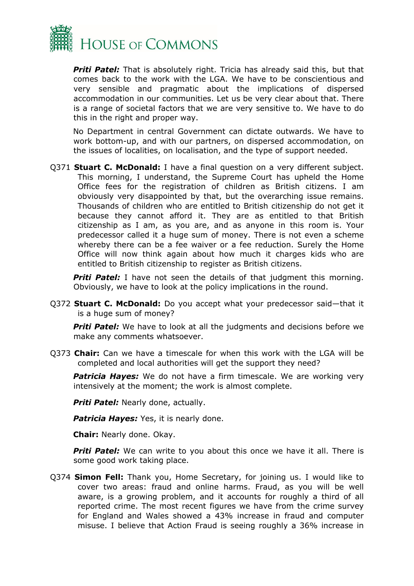

**Priti Patel:** That is absolutely right. Tricia has already said this, but that comes back to the work with the LGA. We have to be conscientious and very sensible and pragmatic about the implications of dispersed accommodation in our communities. Let us be very clear about that. There is a range of societal factors that we are very sensitive to. We have to do this in the right and proper way.

No Department in central Government can dictate outwards. We have to work bottom-up, and with our partners, on dispersed accommodation, on the issues of localities, on localisation, and the type of support needed.

Q371 **Stuart C. McDonald:** I have a final question on a very different subject. This morning, I understand, the Supreme Court has upheld the Home Office fees for the registration of children as British citizens. I am obviously very disappointed by that, but the overarching issue remains. Thousands of children who are entitled to British citizenship do not get it because they cannot afford it. They are as entitled to that British citizenship as I am, as you are, and as anyone in this room is. Your predecessor called it a huge sum of money. There is not even a scheme whereby there can be a fee waiver or a fee reduction. Surely the Home Office will now think again about how much it charges kids who are entitled to British citizenship to register as British citizens.

**Priti Patel:** I have not seen the details of that judgment this morning. Obviously, we have to look at the policy implications in the round.

Q372 **Stuart C. McDonald:** Do you accept what your predecessor said—that it is a huge sum of money?

**Priti Patel:** We have to look at all the judgments and decisions before we make any comments whatsoever.

Q373 **Chair:** Can we have a timescale for when this work with the LGA will be completed and local authorities will get the support they need?

**Patricia Hayes:** We do not have a firm timescale. We are working very intensively at the moment; the work is almost complete.

*Priti Patel:* Nearly done, actually.

**Patricia Hayes:** Yes, it is nearly done.

**Chair:** Nearly done. Okay.

**Priti Patel:** We can write to you about this once we have it all. There is some good work taking place.

Q374 **Simon Fell:** Thank you, Home Secretary, for joining us. I would like to cover two areas: fraud and online harms. Fraud, as you will be well aware, is a growing problem, and it accounts for roughly a third of all reported crime. The most recent figures we have from the crime survey for England and Wales showed a 43% increase in fraud and computer misuse. I believe that Action Fraud is seeing roughly a 36% increase in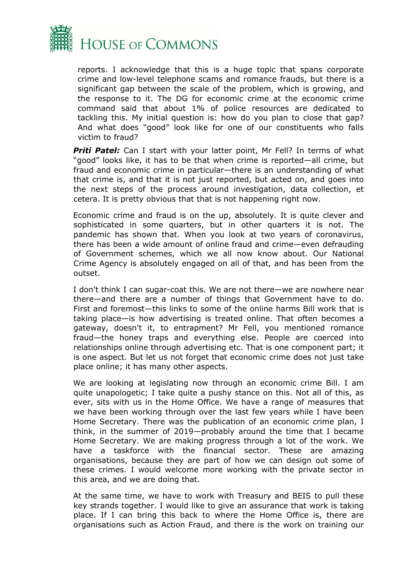

reports. I acknowledge that this is a huge topic that spans corporate crime and low-level telephone scams and romance frauds, but there is a significant gap between the scale of the problem, which is growing, and the response to it. The DG for economic crime at the economic crime command said that about 1% of police resources are dedicated to tackling this. My initial question is: how do you plan to close that gap? And what does "good" look like for one of our constituents who falls victim to fraud?

*Priti Patel:* Can I start with your latter point, Mr Fell? In terms of what "good" looks like, it has to be that when crime is reported—all crime, but fraud and economic crime in particular—there is an understanding of what that crime is, and that it is not just reported, but acted on, and goes into the next steps of the process around investigation, data collection, et cetera. It is pretty obvious that that is not happening right now.

Economic crime and fraud is on the up, absolutely. It is quite clever and sophisticated in some quarters, but in other quarters it is not. The pandemic has shown that. When you look at two years of coronavirus, there has been a wide amount of online fraud and crime—even defrauding of Government schemes, which we all now know about. Our National Crime Agency is absolutely engaged on all of that, and has been from the outset.

I don't think I can sugar-coat this. We are not there—we are nowhere near there—and there are a number of things that Government have to do. First and foremost—this links to some of the online harms Bill work that is taking place—is how advertising is treated online. That often becomes a gateway, doesn't it, to entrapment? Mr Fell, you mentioned romance fraud—the honey traps and everything else. People are coerced into relationships online through advertising etc. That is one component part; it is one aspect. But let us not forget that economic crime does not just take place online; it has many other aspects.

We are looking at legislating now through an economic crime Bill. I am quite unapologetic; I take quite a pushy stance on this. Not all of this, as ever, sits with us in the Home Office. We have a range of measures that we have been working through over the last few years while I have been Home Secretary. There was the publication of an economic crime plan, I think, in the summer of 2019—probably around the time that I became Home Secretary. We are making progress through a lot of the work. We have a taskforce with the financial sector. These are amazing organisations, because they are part of how we can design out some of these crimes. I would welcome more working with the private sector in this area, and we are doing that.

At the same time, we have to work with Treasury and BEIS to pull these key strands together. I would like to give an assurance that work is taking place. If I can bring this back to where the Home Office is, there are organisations such as Action Fraud, and there is the work on training our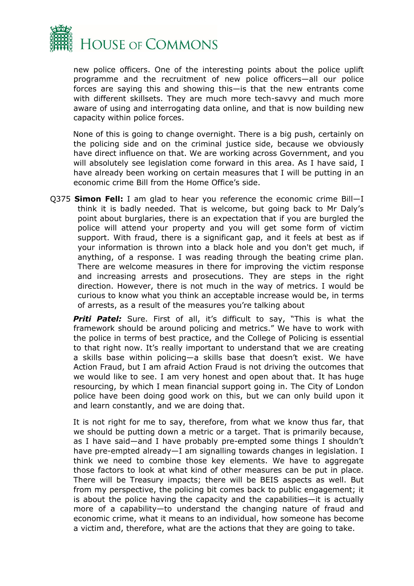

new police officers. One of the interesting points about the police uplift programme and the recruitment of new police officers—all our police forces are saying this and showing this—is that the new entrants come with different skillsets. They are much more tech-savvy and much more aware of using and interrogating data online, and that is now building new capacity within police forces.

None of this is going to change overnight. There is a big push, certainly on the policing side and on the criminal justice side, because we obviously have direct influence on that. We are working across Government, and you will absolutely see legislation come forward in this area. As I have said, I have already been working on certain measures that I will be putting in an economic crime Bill from the Home Office's side.

Q375 **Simon Fell:** I am glad to hear you reference the economic crime Bill—I think it is badly needed. That is welcome, but going back to Mr Daly's point about burglaries, there is an expectation that if you are burgled the police will attend your property and you will get some form of victim support. With fraud, there is a significant gap, and it feels at best as if your information is thrown into a black hole and you don't get much, if anything, of a response. I was reading through the beating crime plan. There are welcome measures in there for improving the victim response and increasing arrests and prosecutions. They are steps in the right direction. However, there is not much in the way of metrics. I would be curious to know what you think an acceptable increase would be, in terms of arrests, as a result of the measures you're talking about

**Priti Patel:** Sure. First of all, it's difficult to say, "This is what the framework should be around policing and metrics." We have to work with the police in terms of best practice, and the College of Policing is essential to that right now. It's really important to understand that we are creating a skills base within policing—a skills base that doesn't exist. We have Action Fraud, but I am afraid Action Fraud is not driving the outcomes that we would like to see. I am very honest and open about that. It has huge resourcing, by which I mean financial support going in. The City of London police have been doing good work on this, but we can only build upon it and learn constantly, and we are doing that.

It is not right for me to say, therefore, from what we know thus far, that we should be putting down a metric or a target. That is primarily because, as I have said—and I have probably pre-empted some things I shouldn't have pre-empted already—I am signalling towards changes in legislation. I think we need to combine those key elements. We have to aggregate those factors to look at what kind of other measures can be put in place. There will be Treasury impacts; there will be BEIS aspects as well. But from my perspective, the policing bit comes back to public engagement; it is about the police having the capacity and the capabilities—it is actually more of a capability—to understand the changing nature of fraud and economic crime, what it means to an individual, how someone has become a victim and, therefore, what are the actions that they are going to take.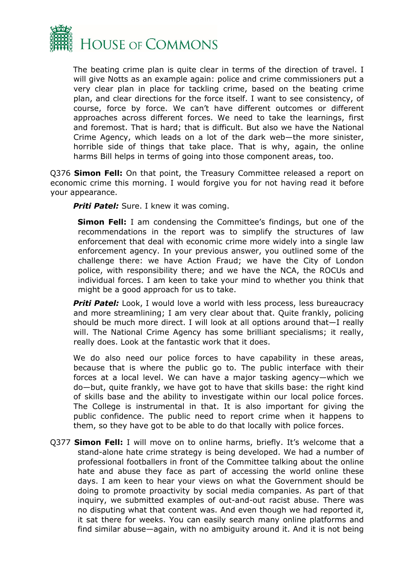

The beating crime plan is quite clear in terms of the direction of travel. I will give Notts as an example again: police and crime commissioners put a very clear plan in place for tackling crime, based on the beating crime plan, and clear directions for the force itself. I want to see consistency, of course, force by force. We can't have different outcomes or different approaches across different forces. We need to take the learnings, first and foremost. That is hard; that is difficult. But also we have the National Crime Agency, which leads on a lot of the dark web—the more sinister, horrible side of things that take place. That is why, again, the online harms Bill helps in terms of going into those component areas, too.

Q376 **Simon Fell:** On that point, the Treasury Committee released a report on economic crime this morning. I would forgive you for not having read it before your appearance.

**Priti Patel:** Sure. I knew it was coming.

**Simon Fell:** I am condensing the Committee's findings, but one of the recommendations in the report was to simplify the structures of law enforcement that deal with economic crime more widely into a single law enforcement agency. In your previous answer, you outlined some of the challenge there: we have Action Fraud; we have the City of London police, with responsibility there; and we have the NCA, the ROCUs and individual forces. I am keen to take your mind to whether you think that might be a good approach for us to take.

**Priti Patel:** Look, I would love a world with less process, less bureaucracy and more streamlining; I am very clear about that. Quite frankly, policing should be much more direct. I will look at all options around that—I really will. The National Crime Agency has some brilliant specialisms; it really, really does. Look at the fantastic work that it does.

We do also need our police forces to have capability in these areas, because that is where the public go to. The public interface with their forces at a local level. We can have a major tasking agency—which we do—but, quite frankly, we have got to have that skills base: the right kind of skills base and the ability to investigate within our local police forces. The College is instrumental in that. It is also important for giving the public confidence. The public need to report crime when it happens to them, so they have got to be able to do that locally with police forces.

Q377 **Simon Fell:** I will move on to online harms, briefly. It's welcome that a stand-alone hate crime strategy is being developed. We had a number of professional footballers in front of the Committee talking about the online hate and abuse they face as part of accessing the world online these days. I am keen to hear your views on what the Government should be doing to promote proactivity by social media companies. As part of that inquiry, we submitted examples of out-and-out racist abuse. There was no disputing what that content was. And even though we had reported it, it sat there for weeks. You can easily search many online platforms and find similar abuse—again, with no ambiguity around it. And it is not being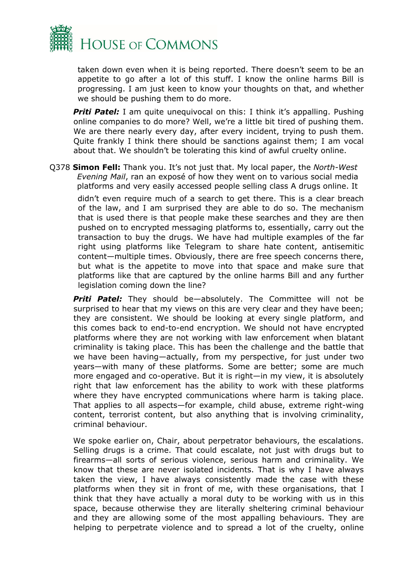

taken down even when it is being reported. There doesn't seem to be an appetite to go after a lot of this stuff. I know the online harms Bill is progressing. I am just keen to know your thoughts on that, and whether we should be pushing them to do more.

**Priti Patel:** I am quite unequivocal on this: I think it's appalling. Pushing online companies to do more? Well, we're a little bit tired of pushing them. We are there nearly every day, after every incident, trying to push them. Quite frankly I think there should be sanctions against them; I am vocal about that. We shouldn't be tolerating this kind of awful cruelty online.

Q378 **Simon Fell:** Thank you. It's not just that. My local paper, the *North-West Evening Mail*, ran an exposé of how they went on to various social media platforms and very easily accessed people selling class A drugs online. It

didn't even require much of a search to get there. This is a clear breach of the law, and I am surprised they are able to do so. The mechanism that is used there is that people make these searches and they are then pushed on to encrypted messaging platforms to, essentially, carry out the transaction to buy the drugs. We have had multiple examples of the far right using platforms like Telegram to share hate content, antisemitic content—multiple times. Obviously, there are free speech concerns there, but what is the appetite to move into that space and make sure that platforms like that are captured by the online harms Bill and any further legislation coming down the line?

*Priti Patel:* They should be—absolutely. The Committee will not be surprised to hear that my views on this are very clear and they have been; they are consistent. We should be looking at every single platform, and this comes back to end-to-end encryption. We should not have encrypted platforms where they are not working with law enforcement when blatant criminality is taking place. This has been the challenge and the battle that we have been having—actually, from my perspective, for just under two years—with many of these platforms. Some are better; some are much more engaged and co-operative. But it is right—in my view, it is absolutely right that law enforcement has the ability to work with these platforms where they have encrypted communications where harm is taking place. That applies to all aspects—for example, child abuse, extreme right-wing content, terrorist content, but also anything that is involving criminality, criminal behaviour.

We spoke earlier on, Chair, about perpetrator behaviours, the escalations. Selling drugs is a crime. That could escalate, not just with drugs but to firearms—all sorts of serious violence, serious harm and criminality. We know that these are never isolated incidents. That is why I have always taken the view, I have always consistently made the case with these platforms when they sit in front of me, with these organisations, that I think that they have actually a moral duty to be working with us in this space, because otherwise they are literally sheltering criminal behaviour and they are allowing some of the most appalling behaviours. They are helping to perpetrate violence and to spread a lot of the cruelty, online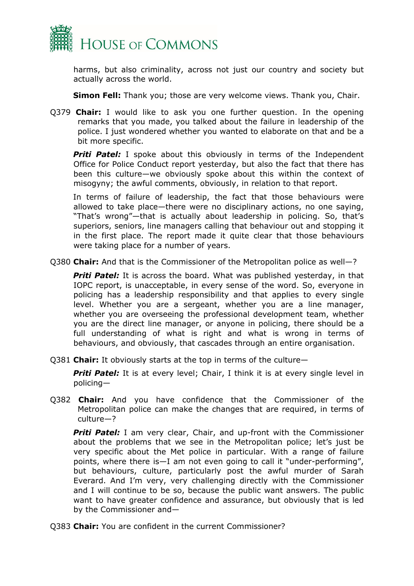

harms, but also criminality, across not just our country and society but actually across the world.

**Simon Fell:** Thank you; those are very welcome views. Thank you, Chair.

Q379 **Chair:** I would like to ask you one further question. In the opening remarks that you made, you talked about the failure in leadership of the police. I just wondered whether you wanted to elaborate on that and be a bit more specific.

**Priti Patel:** I spoke about this obviously in terms of the Independent Office for Police Conduct report yesterday, but also the fact that there has been this culture—we obviously spoke about this within the context of misogyny; the awful comments, obviously, in relation to that report.

In terms of failure of leadership, the fact that those behaviours were allowed to take place—there were no disciplinary actions, no one saying, "That's wrong"—that is actually about leadership in policing. So, that's superiors, seniors, line managers calling that behaviour out and stopping it in the first place. The report made it quite clear that those behaviours were taking place for a number of years.

Q380 **Chair:** And that is the Commissioner of the Metropolitan police as well—?

**Priti Patel:** It is across the board. What was published yesterday, in that IOPC report, is unacceptable, in every sense of the word. So, everyone in policing has a leadership responsibility and that applies to every single level. Whether you are a sergeant, whether you are a line manager, whether you are overseeing the professional development team, whether you are the direct line manager, or anyone in policing, there should be a full understanding of what is right and what is wrong in terms of behaviours, and obviously, that cascades through an entire organisation.

Q381 **Chair:** It obviously starts at the top in terms of the culture—

**Priti Patel:** It is at every level; Chair, I think it is at every single level in policing—

Q382 **Chair:** And you have confidence that the Commissioner of the Metropolitan police can make the changes that are required, in terms of culture—?

**Priti Patel:** I am very clear, Chair, and up-front with the Commissioner about the problems that we see in the Metropolitan police; let's just be very specific about the Met police in particular. With a range of failure points, where there is—I am not even going to call it "under-performing", but behaviours, culture, particularly post the awful murder of Sarah Everard. And I'm very, very challenging directly with the Commissioner and I will continue to be so, because the public want answers. The public want to have greater confidence and assurance, but obviously that is led by the Commissioner and—

Q383 **Chair:** You are confident in the current Commissioner?